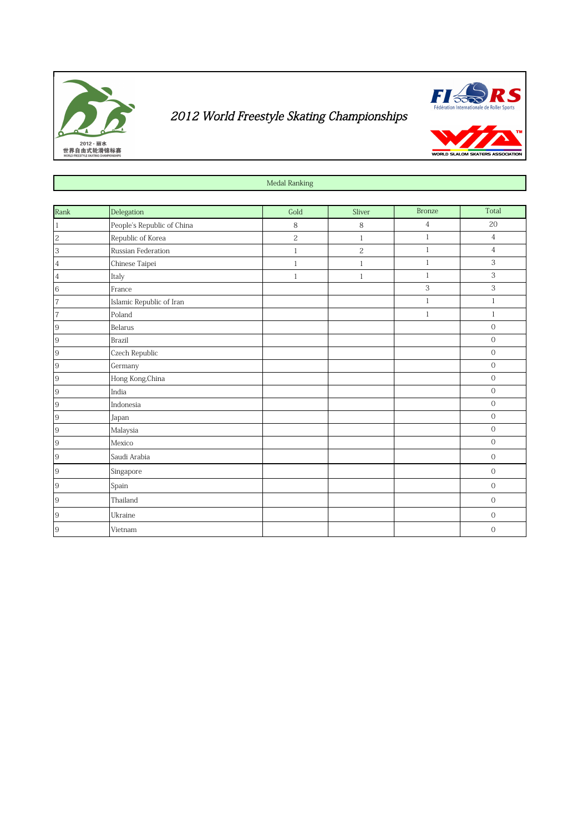



WORLD SLALOM SKATE

Medal Ranking

| Rank           | Delegation                 | Gold       | Sliver       | <b>Bronze</b> | Total                     |
|----------------|----------------------------|------------|--------------|---------------|---------------------------|
| $\vert$ 1      | People's Republic of China | 8          | 8            | 4             | 20                        |
|                | Republic of Korea          | $\sqrt{2}$ | $\mathbf{1}$ | $\mathbf{1}$  | $\overline{4}$            |
| $\frac{2}{3}$  | Russian Federation         | $1\,$      | $\sqrt{2}$   | $\,1$         | $\overline{4}$            |
| $\vert 4$      | Chinese Taipei             | $\,1\,$    | $\mathbf{1}$ | $\,1$         | $\ensuremath{\mathsf{3}}$ |
|                | Italy                      | $\,1\,$    | $\,1$        | $\mathbf{1}$  | $\ensuremath{\mathsf{3}}$ |
| $\frac{4}{6}$  | France                     |            |              | 3             | 3                         |
| 7              | Islamic Republic of Iran   |            |              | $\mathbf{1}$  | $\mathbf{1}$              |
| $\overline{7}$ | Poland                     |            |              | $\mathbf{1}$  | $\mathbf{1}$              |
| 9              | Belarus                    |            |              |               | $\mathbf 0$               |
| 9              | Brazil                     |            |              |               | $\mathbf 0$               |
| 9              | Czech Republic             |            |              |               | $\mathbf 0$               |
| 9              | Germany                    |            |              |               | $\mathbf 0$               |
| 9              | Hong Kong, China           |            |              |               | $\mathbf 0$               |
| 9              | India                      |            |              |               | $\,0\,$                   |
| 9              | Indonesia                  |            |              |               | $\cal O$                  |
| 9              | Japan                      |            |              |               | $\cal O$                  |
| 9              | Malaysia                   |            |              |               | $\mathbf 0$               |
| $\overline{9}$ | Mexico                     |            |              |               | $\cal O$                  |
| 9              | Saudi Arabia               |            |              |               | $\boldsymbol{0}$          |
| 9              | Singapore                  |            |              |               | $\mathbf 0$               |
| 9              | Spain                      |            |              |               | $\mathbf 0$               |
| 9              | Thailand                   |            |              |               | $\mathbf 0$               |
| 9              | Ukraine                    |            |              |               | $\boldsymbol{0}$          |
| 9              | Vietnam                    |            |              |               | $\mathbf 0$               |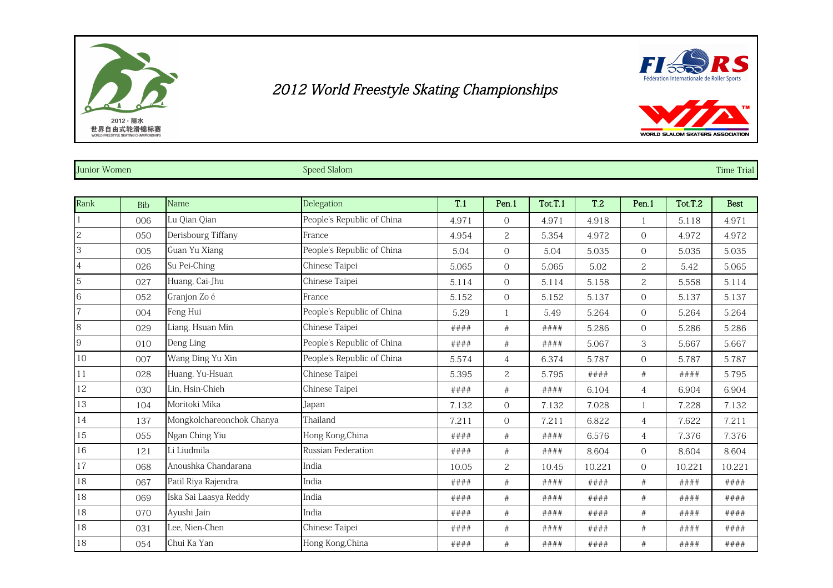





| Junior Women   |            |                           | <b>Speed Slalom</b>        |         |                |         |            |                |         | <b>Time Trial</b> |
|----------------|------------|---------------------------|----------------------------|---------|----------------|---------|------------|----------------|---------|-------------------|
|                |            |                           |                            |         |                |         |            |                |         |                   |
| Rank           | <b>Bib</b> | Name                      | Delegation                 | T.1     | Pen.1          | Tot.T.1 | <b>T.2</b> | Pen.1          | Tot.T.2 | <b>Best</b>       |
|                | 006        | Lu Qian Qian              | People's Republic of China | 4.971   | $\overline{0}$ | 4.971   | 4.918      | $\overline{1}$ | 5.118   | 4.971             |
| $\overline{c}$ | 050        | Derisbourg Tiffany        | France                     | 4.954   | $\overline{c}$ | 5.354   | 4.972      | $\mathbf{O}$   | 4.972   | 4.972             |
| 3              | 005        | Guan Yu Xiang             | People's Republic of China | 5.04    | $\Omega$       | 5.04    | 5.035      | $\Omega$       | 5.035   | 5.035             |
|                | 026        | Su Pei-Ching              | Chinese Taipei             | 5.065   | $\overline{O}$ | 5.065   | 5.02       | $\overline{c}$ | 5.42    | 5.065             |
| 5              | 027        | Huang, Cai-Jhu            | Chinese Taipei             | 5.114   | $\Omega$       | 5.114   | 5.158      | $\overline{c}$ | 5.558   | 5.114             |
| 6              | 052        | Granjon Zo é              | France                     | 5.152   | $\overline{0}$ | 5.152   | 5.137      | $\overline{0}$ | 5.137   | 5.137             |
|                | 004        | Feng Hui                  | People's Republic of China | 5.29    |                | 5.49    | 5.264      | $\overline{0}$ | 5.264   | 5.264             |
| 8              | 029        | Liang, Hsuan Min          | Chinese Taipei             | ####    | #              | ####    | 5.286      | $\overline{0}$ | 5.286   | 5.286             |
| 9              | 010        | Deng Ling                 | People's Republic of China | ####    | $\#$           | ####    | 5.067      | 3              | 5.667   | 5.667             |
| 10             | 007        | Wang Ding Yu Xin          | People's Republic of China | 5.574   | $\overline{4}$ | 6.374   | 5.787      | $\overline{0}$ | 5.787   | 5.787             |
| 11             | 028        | Huang, Yu-Hsuan           | Chinese Taipei             | 5.395   | $\overline{c}$ | 5.795   | ####       | $\#$           | ####    | 5.795             |
| 12             | 030        | Lin, Hsin-Chieh           | Chinese Taipei             | ####    | $\#$           | ####    | 6.104      | $\overline{4}$ | 6.904   | 6.904             |
| 13             | 104        | Moritoki Mika             | Japan                      | 7.132   | $\overline{O}$ | 7.132   | 7.028      | 1              | 7.228   | 7.132             |
| 14             | 137        | Mongkolchareonchok Chanya | Thailand                   | 7.211   | $\overline{O}$ | 7.211   | 6.822      | $\overline{4}$ | 7.622   | 7.211             |
| 15             | 055        | Ngan Ching Yiu            | Hong Kong, China           | # # # # | $\#$           | ####    | 6.576      | $\overline{4}$ | 7.376   | 7.376             |
| 16             | 121        | Li Liudmila               | Russian Federation         | ####    | $\#$           | ####    | 8.604      | $\overline{0}$ | 8.604   | 8.604             |
| 17             | 068        | Anoushka Chandarana       | India                      | 10.05   | $\overline{c}$ | 10.45   | 10.221     | $\overline{0}$ | 10.221  | 10.221            |
| 18             | 067        | Patil Riya Rajendra       | India                      | ####    | $\#$           | ####    | ####       | $\#$           | ####    | ####              |
| 18             | 069        | Iska Sai Laasya Reddy     | India                      | ####    | $\#$           | ####    | ####       | $\#$           | ####    | ####              |
| 18             | 070        | Ayushi Jain               | India                      | ####    | $\#$           | # # ##  | # # # #    | $\#$           | ####    | ####              |
| 18             | 031        | Lee, Nien-Chen            | Chinese Taipei             | ####    | #              | ####    | ####       | #              | ####    | ####              |
| 18             | 054        | Chui Ka Yan               | Hong Kong, China           | ####    | #              | ####    | ####       | #              | ####    | ####              |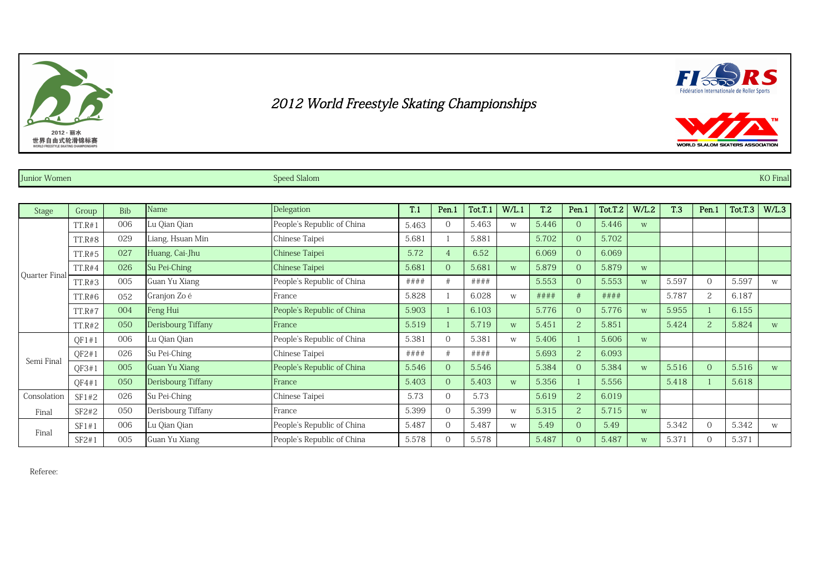





Junior Women Speed Slalom Speed Slalom Speed Slalom Speed Slalom Speed Slalom Speed Slalom Speed Slalom Speed Sla

| <b>Stage</b>  | Group         | Bib | Name               | Delegation                 | T.1     | Pen.1          | Tot.T.1 | W/L.1 | T <sub>.2</sub> | Pen.1          | Tot.T.2 | W/L.2 | <b>T.3</b> | Pen.1          | Tot.T.3 | W/L.3 |
|---------------|---------------|-----|--------------------|----------------------------|---------|----------------|---------|-------|-----------------|----------------|---------|-------|------------|----------------|---------|-------|
|               | TT.R#1        | 006 | Lu Qian Qian       | People's Republic of China | 5.463   | $\theta$       | 5.463   | W     | 5.446           | $\overline{0}$ | 5.446   | W     |            |                |         |       |
|               | <b>TT.R#8</b> | 029 | Liang, Hsuan Min   | Chinese Taipei             | 5.681   |                | 5.881   |       | 5.702           | $\overline{0}$ | 5.702   |       |            |                |         |       |
|               | <b>TT.R#5</b> | 027 | Huang, Cai-Jhu     | Chinese Taipei             | 5.72    |                | 6.52    |       | 6.069           | $\overline{0}$ | 6.069   |       |            |                |         |       |
|               | TT.R#4        | 026 | Su Pei-Ching       | Chinese Taipei             | 5.681   | $\overline{0}$ | 5.681   | W     | 5.879           | $\overline{0}$ | 5.879   | W     |            |                |         |       |
| Quarter Final | TT.R#3        | 005 | Guan Yu Xiang      | People's Republic of China | # # # # |                | # # ##  |       | 5.553           | $\overline{0}$ | 5.553   | W     | 5.597      | $\Omega$       | 5.597   | W     |
|               | TT.R#6        | 052 | Granjon Zo é       | France                     | 5.828   |                | 6.028   | W     | ####            | #              | ####    |       | 5.787      | $\overline{2}$ | 6.187   |       |
|               | <b>TT.R#7</b> | 004 | Feng Hui           | People's Republic of China | 5.903   |                | 6.103   |       | 5.776           | $\overline{0}$ | 5.776   | W     | 5.955      |                | 6.155   |       |
|               | <b>TT.R#2</b> | 050 | Derisbourg Tiffany | France                     | 5.519   |                | 5.719   | W     | 5.451           | 2              | 5.851   |       | 5.424      | 2 <sup>1</sup> | 5.824   | W     |
|               | OF1#1         | 006 | Lu Qian Qian       | People's Republic of China | 5.381   | $\Omega$       | 5.381   | W     | 5.406           |                | 5.606   | W     |            |                |         |       |
|               | QF2#1         | 026 | Su Pei-Ching       | Chinese Taipei             | # # # # |                | # # ##  |       | 5.693           | 2              | 6.093   |       |            |                |         |       |
| Semi Final    | QF3#1         | 005 | Guan Yu Xiang      | People's Republic of China | 5.546   | $\Omega$       | 5.546   |       | 5.384           | $\overline{0}$ | 5.384   | W     | 5.516      | $\Omega$       | 5.516   | W     |
|               | OF4#1         | 050 | Derisbourg Tiffany | France                     | 5.403   | $\overline{0}$ | 5.403   | W     | 5.356           |                | 5.556   |       | 5.418      |                | 5.618   |       |
| Consolation   | SF1#2         | 026 | Su Pei-Ching       | Chinese Taipei             | 5.73    | $\Omega$       | 5.73    |       | 5.619           | $\overline{2}$ | 6.019   |       |            |                |         |       |
| Final         | SF2#2         | 050 | Derisbourg Tiffany | France                     | 5.399   | $\Omega$       | 5.399   | W     | 5.315           | $\overline{2}$ | 5.715   | W     |            |                |         |       |
|               | SF1#1         | 006 | Lu Qian Qian       | People's Republic of China | 5.487   | $\Omega$       | 5.487   | W     | 5.49            | $\overline{0}$ | 5.49    |       | 5.342      |                | 5.342   | W     |
| Final         | SF2#1         | 005 | Guan Yu Xiang      | People's Republic of China | 5.578   | $\Omega$       | 5.578   |       | 5.487           | $\overline{0}$ | 5.487   | W     | 5.371      |                | 5.371   |       |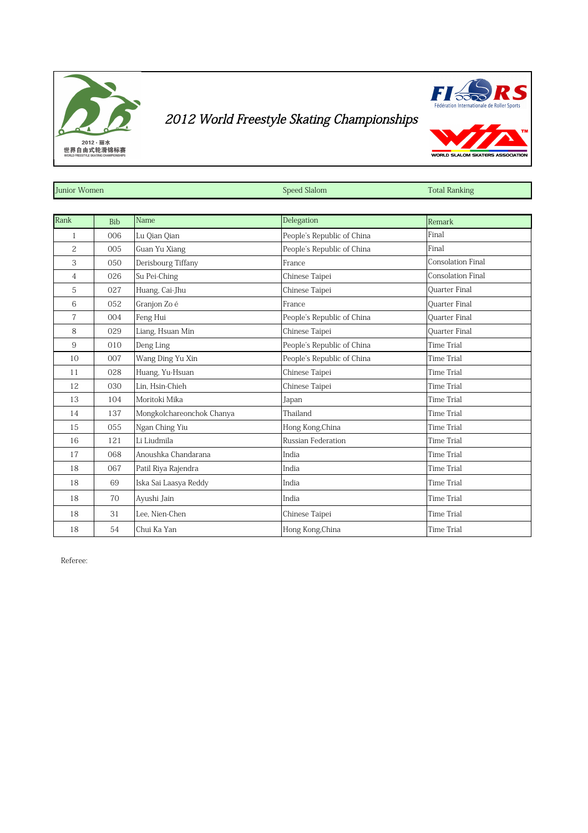



WORLD SLALOM SKATERS

| Junior Women   |            |                           | Speed Slalom               | <b>Total Ranking</b>     |
|----------------|------------|---------------------------|----------------------------|--------------------------|
|                |            |                           |                            |                          |
| Rank           | <b>Bib</b> | Name                      | Delegation                 | Remark                   |
| 1              | 006        | Lu Qian Qian              | People's Republic of China | Final                    |
| $\overline{c}$ | 005        | Guan Yu Xiang             | People's Republic of China | Final                    |
| 3              | 050        | Derisbourg Tiffany        | France                     | <b>Consolation Final</b> |
| $\overline{4}$ | 026        | Su Pei-Ching              | Chinese Taipei             | <b>Consolation Final</b> |
| 5              | 027        | Huang, Cai-Jhu            | Chinese Taipei             | Quarter Final            |
| 6              | 052        | Granjon Zo é              | France                     | <b>Ouarter Final</b>     |
| $\overline{7}$ | 004        | Feng Hui                  | People's Republic of China | <b>Ouarter Final</b>     |
| 8              | 029        | Liang, Hsuan Min          | Chinese Taipei             | <b>Ouarter Final</b>     |
| 9              | 010        | Deng Ling                 | People's Republic of China | <b>Time Trial</b>        |
| 10             | 007        | Wang Ding Yu Xin          | People's Republic of China | <b>Time Trial</b>        |
| 11             | 028        | Huang, Yu-Hsuan           | Chinese Taipei             | <b>Time Trial</b>        |
| 12             | 030        | Lin. Hsin-Chieh           | Chinese Taipei             | <b>Time Trial</b>        |
| 13             | 104        | Moritoki Mika             | Japan                      | <b>Time Trial</b>        |
| 14             | 137        | Mongkolchareonchok Chanya | Thailand                   | <b>Time Trial</b>        |
| 15             | 055        | Ngan Ching Yiu            | Hong Kong, China           | <b>Time Trial</b>        |
| 16             | 121        | Li Liudmila               | Russian Federation         | <b>Time Trial</b>        |
| 17             | 068        | Anoushka Chandarana       | India                      | <b>Time Trial</b>        |
| 18             | 067        | Patil Riya Rajendra       | India                      | <b>Time Trial</b>        |
| 18             | 69         | Iska Sai Laasya Reddy     | India                      | <b>Time Trial</b>        |
| 18             | 70         | Ayushi Jain               | India                      | Time Trial               |
| 18             | 31         | Lee, Nien-Chen            | Chinese Taipei             | <b>Time Trial</b>        |
| 18             | 54         | Chui Ka Yan               | Hong Kong, China           | <b>Time Trial</b>        |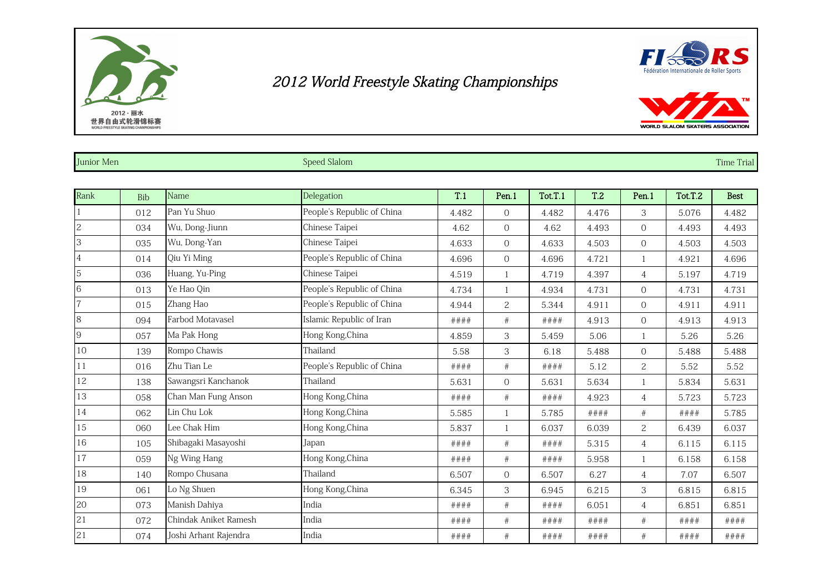



WORLD SLALOM SKATERS ASSOCIATION

| <b>Junior Men</b> | $\sim$<br>ed Slalom<br>speed | <b>Time Trial</b> |
|-------------------|------------------------------|-------------------|
|                   |                              |                   |

| Rank           | <b>Bib</b> | Name                  | Delegation                 | T.1   | Pen.1          | Tot.T.1 | <b>T.2</b> | Pen.1          | Tot.T.2 | <b>Best</b> |
|----------------|------------|-----------------------|----------------------------|-------|----------------|---------|------------|----------------|---------|-------------|
| $\vert$ 1      | 012        | Pan Yu Shuo           | People's Republic of China | 4.482 | $\Omega$       | 4.482   | 4.476      | 3              | 5.076   | 4.482       |
| 2              | 034        | Wu, Dong-Jiunn        | Chinese Taipei             | 4.62  | $\overline{0}$ | 4.62    | 4.493      | $\overline{0}$ | 4.493   | 4.493       |
| 3              | 035        | Wu, Dong-Yan          | Chinese Taipei             | 4.633 | $\overline{0}$ | 4.633   | 4.503      | $\mathbf{O}$   | 4.503   | 4.503       |
| $\overline{4}$ | 014        | Qiu Yi Ming           | People's Republic of China | 4.696 | $\overline{0}$ | 4.696   | 4.721      | $\mathbf{1}$   | 4.921   | 4.696       |
| 5              | 036        | Huang, Yu-Ping        | Chinese Taipei             | 4.519 | $\mathbf{1}$   | 4.719   | 4.397      | 4              | 5.197   | 4.719       |
| 6              | 013        | Ye Hao Qin            | People's Republic of China | 4.734 | $\mathbf{1}$   | 4.934   | 4.731      | $\overline{0}$ | 4.731   | 4.731       |
| $\overline{7}$ | 015        | Zhang Hao             | People's Republic of China | 4.944 | $\overline{c}$ | 5.344   | 4.911      | $\overline{0}$ | 4.911   | 4.911       |
| 8              | 094        | Farbod Motavasel      | Islamic Republic of Iran   | ####  | $\#$           | ####    | 4.913      | $\mathbf{O}$   | 4.913   | 4.913       |
| 9              | 057        | Ma Pak Hong           | Hong Kong, China           | 4.859 | 3              | 5.459   | 5.06       | 1              | 5.26    | 5.26        |
| 10             | 139        | Rompo Chawis          | Thailand                   | 5.58  | 3              | 6.18    | 5.488      | $\overline{0}$ | 5.488   | 5.488       |
| 11             | 016        | Zhu Tian Le           | People's Republic of China | ####  | $\#$           | ####    | 5.12       | $\overline{c}$ | 5.52    | 5.52        |
| 12             | 138        | Sawangsri Kanchanok   | Thailand                   | 5.631 | $\Omega$       | 5.631   | 5.634      |                | 5.834   | 5.631       |
| 13             | 058        | Chan Man Fung Anson   | Hong Kong, China           | ####  | $\#$           | ####    | 4.923      | $\overline{4}$ | 5.723   | 5.723       |
| 14             | 062        | Lin Chu Lok           | Hong Kong, China           | 5.585 | $\mathbf{1}$   | 5.785   | ####       | $\#$           | ####    | 5.785       |
| 15             | 060        | Lee Chak Him          | Hong Kong, China           | 5.837 | $\mathbf{1}$   | 6.037   | 6.039      | $\overline{c}$ | 6.439   | 6.037       |
| 16             | 105        | Shibagaki Masayoshi   | Japan                      | ####  | $\#$           | ####    | 5.315      | $\overline{4}$ | 6.115   | 6.115       |
| 17             | 059        | Ng Wing Hang          | Hong Kong, China           | ####  | #              | # # ##  | 5.958      | $\mathbf{1}$   | 6.158   | 6.158       |
| 18             | 140        | Rompo Chusana         | Thailand                   | 6.507 | $\overline{0}$ | 6.507   | 6.27       | $\overline{4}$ | 7.07    | 6.507       |
| 19             | 061        | Lo Ng Shuen           | Hong Kong, China           | 6.345 | 3              | 6.945   | 6.215      | 3              | 6.815   | 6.815       |
| 20             | 073        | Manish Dahiya         | India                      | ####  | $\#$           | ####    | 6.051      | $\overline{4}$ | 6.851   | 6.851       |
| 21             | 072        | Chindak Aniket Ramesh | India                      | ####  | $\#$           | ####    | ####       | $\#$           | ####    | ####        |
| 21             | 074        | Joshi Arhant Rajendra | India                      | ####  | $\#$           | ####    | ####       | $\#$           | ####    | ####        |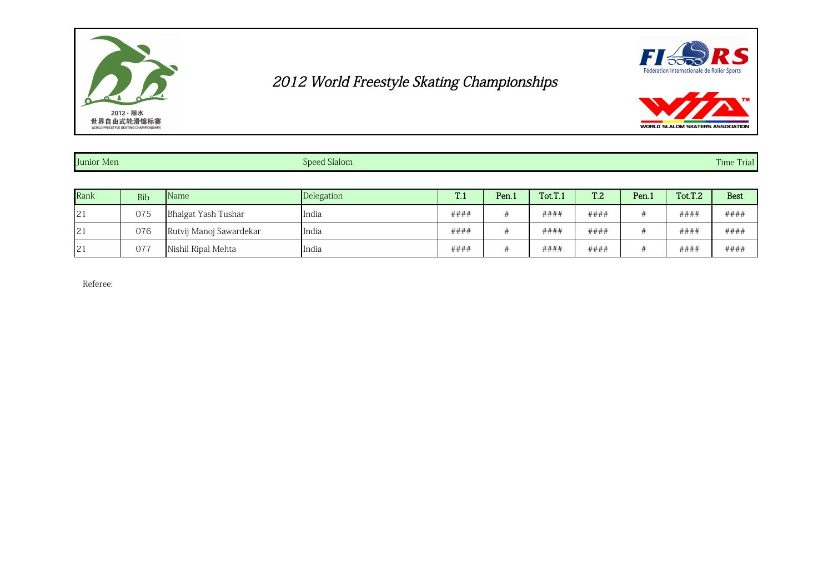



| <b>WORLD SLALOM SKATERS ASSOCIATION</b> |
|-----------------------------------------|

| Junior Men | <b>Speed Slalom</b> | $\mathbf{m}$<br>Time Trial |
|------------|---------------------|----------------------------|
|            |                     |                            |

| Rank | <b>Bib</b> | Name                    | Delegation | T.1  | Pen <sub>1</sub> | Tot.T.1 | T <sub>.2</sub> | Pen.1 | Tot.T.2 | <b>Best</b> |
|------|------------|-------------------------|------------|------|------------------|---------|-----------------|-------|---------|-------------|
| 21   | 075        | Bhalgat Yash Tushar     | India      | #### |                  | ####    | ####            |       | ####    | ####        |
| 21   | 076        | Rutvij Manoj Sawardekar | India      | #### |                  | ####    | ####            |       | ####    | ####        |
| 21   | 077        | Nishil Ripal Mehta      | India      | #### |                  | ####    | ####            |       | ####    | ####        |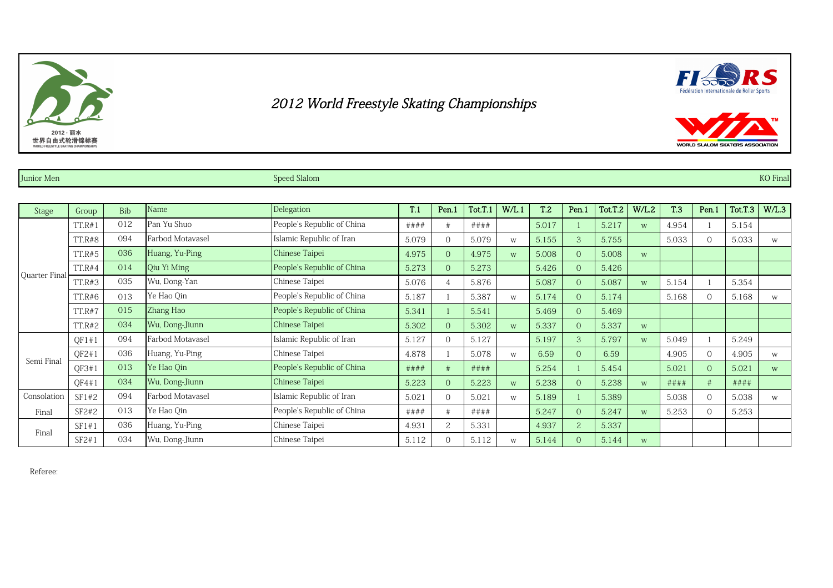





Junior Men Speed Slalom Speed Slalom Speed Slalom Speed Slalom Speed Slalom Speed Slalom Speed Slalom Speed Sla

| Stage         | Group         | <b>Bib</b> | Name             | Delegation                 | T.1   | Pen.1          | Tot.T.1 | W/L.1 | T <sub>.2</sub> | Pen.1          | Tot.T.2 | W/L.2 | <b>T.3</b> | Pen.1    | Tot.T.3 | W/L.3 |
|---------------|---------------|------------|------------------|----------------------------|-------|----------------|---------|-------|-----------------|----------------|---------|-------|------------|----------|---------|-------|
|               | TT.R#1        | 012        | Pan Yu Shuo      | People's Republic of China | ####  |                | ####    |       | 5.017           |                | 5.217   | W     | 4.954      |          | 5.154   |       |
|               | <b>TT.R#8</b> | 094        | Farbod Motavasel | Islamic Republic of Iran   | 5.079 | $\Omega$       | 5.079   | W     | 5.155           | 3              | 5.755   |       | 5.033      |          | 5.033   | W     |
|               | <b>TT.R#5</b> | 036        | Huang, Yu-Ping   | Chinese Taipei             | 4.975 | $\Omega$       | 4.975   | W     | 5.008           | $\overline{0}$ | 5.008   | W     |            |          |         |       |
|               | TT.R#4        | 014        | Qiu Yi Ming      | People's Republic of China | 5.273 | $\Omega$       | 5.273   |       | 5.426           | $\overline{0}$ | 5.426   |       |            |          |         |       |
| Quarter Final | TT.R#3        | 035        | Wu, Dong-Yan     | Chinese Taipei             | 5.076 | $\overline{4}$ | 5.876   |       | 5.087           | $\Omega$       | 5.087   | W     | 5.154      |          | 5.354   |       |
|               | TT.R#6        | 013        | Ye Hao Qin       | People's Republic of China | 5.187 |                | 5.387   | W     | 5.174           | $\overline{0}$ | 5.174   |       | 5.168      |          | 5.168   | W     |
|               | <b>TT.R#7</b> | 015        | Zhang Hao        | People's Republic of China | 5.341 |                | 5.541   |       | 5.469           | $\overline{0}$ | 5.469   |       |            |          |         |       |
|               | <b>TT.R#2</b> | 034        | Wu, Dong-Jiunn   | Chinese Taipei             | 5.302 | $\Omega$       | 5.302   | W     | 5.337           | $\overline{0}$ | 5.337   | W     |            |          |         |       |
|               | QF1#1         | 094        | Farbod Motavasel | Islamic Republic of Iran   | 5.127 | $\bigcap$      | 5.127   |       | 5.197           | 3              | 5.797   | W     | 5.049      |          | 5.249   |       |
|               | QF2#1         | 036        | Huang, Yu-Ping   | Chinese Taipei             | 4.878 |                | 5.078   | W     | 6.59            | $\overline{0}$ | 6.59    |       | 4.905      | $\Omega$ | 4.905   | W     |
| Semi Final    | OF3#1         | 013        | Ye Hao Qin       | People's Republic of China | ####  |                | ####    |       | 5.254           |                | 5.454   |       | 5.021      |          | 5.021   | W     |
|               | QF4#1         | 034        | Wu, Dong-Jiunn   | Chinese Taipei             | 5.223 | $\Omega$       | 5.223   | W     | 5.238           | $\overline{0}$ | 5.238   | W     | ####       |          | # # # # |       |
| Consolation   | SF1#2         | 094        | Farbod Motavasel | Islamic Republic of Iran   | 5.021 | $\Omega$       | 5.021   | W     | 5.189           |                | 5.389   |       | 5.038      |          | 5.038   | W     |
| Final         | SF2#2         | 013        | Ye Hao Oin       | People's Republic of China | ####  |                | ####    |       | 5.247           | $\overline{0}$ | 5.247   | W     | 5.253      |          | 5.253   |       |
| Final         | SF1#1         | 036        | Huang, Yu-Ping   | Chinese Taipei             | 4.931 | 2              | 5.331   |       | 4.937           | 2              | 5.337   |       |            |          |         |       |
|               | SF2#1         | 034        | Wu, Dong-Jiunn   | Chinese Taipei             | 5.112 | $\bigcap$      | 5.112   | W     | 5.144           | $\overline{0}$ | 5.144   | W     |            |          |         |       |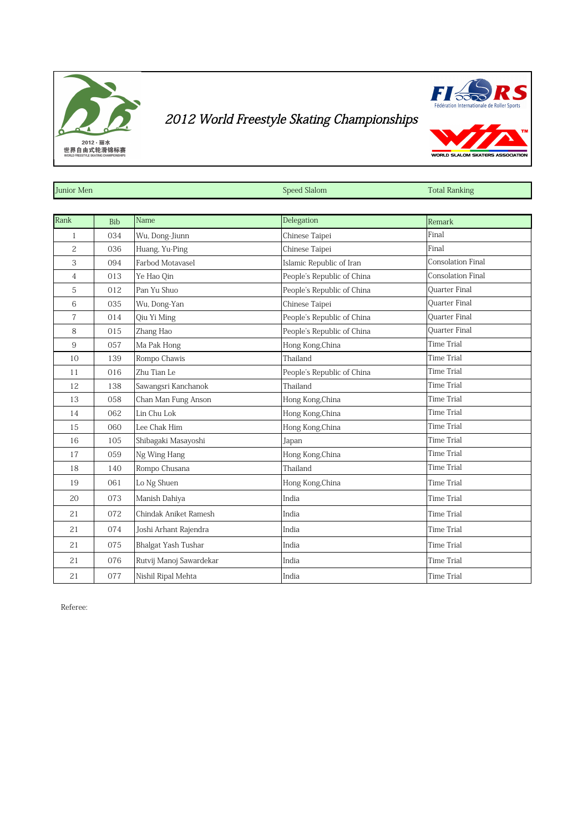



WORLD SLALOM SKATERS

| Junior Men     |            |                         | Speed Slalom               | <b>Total Ranking</b> |
|----------------|------------|-------------------------|----------------------------|----------------------|
|                |            |                         |                            |                      |
| Rank           | <b>Bib</b> | Name                    | Delegation                 | Remark               |
| $\mathbf{1}$   | 034        | Wu, Dong-Jiunn          | Chinese Taipei             | Final                |
| $\overline{c}$ | 036        | Huang, Yu-Ping          | Chinese Taipei             | Final                |
| 3              | 094        | Farbod Motavasel        | Islamic Republic of Iran   | Consolation Final    |
| 4              | 013        | Ye Hao Qin              | People's Republic of China | Consolation Final    |
| 5              | 012        | Pan Yu Shuo             | People's Republic of China | <b>Ouarter Final</b> |
| 6              | 035        | Wu, Dong-Yan            | Chinese Taipei             | <b>Ouarter Final</b> |
| 7              | 014        | Qiu Yi Ming             | People's Republic of China | <b>Ouarter Final</b> |
| 8              | 015        | Zhang Hao               | People's Republic of China | Quarter Final        |
| 9              | 057        | Ma Pak Hong             | Hong Kong, China           | Time Trial           |
| 10             | 139        | Rompo Chawis            | Thailand                   | Time Trial           |
| 11             | 016        | Zhu Tian Le             | People's Republic of China | Time Trial           |
| 12             | 138        | Sawangsri Kanchanok     | Thailand                   | Time Trial           |
| 13             | 058        | Chan Man Fung Anson     | Hong Kong, China           | <b>Time Trial</b>    |
| 14             | 062        | Lin Chu Lok             | Hong Kong, China           | Time Trial           |
| 15             | 060        | Lee Chak Him            | Hong Kong, China           | <b>Time Trial</b>    |
| 16             | 105        | Shibagaki Masayoshi     | Japan                      | Time Trial           |
| 17             | 059        | Ng Wing Hang            | Hong Kong, China           | Time Trial           |
| 18             | 140        | Rompo Chusana           | Thailand                   | <b>Time Trial</b>    |
| 19             | 061        | Lo Ng Shuen             | Hong Kong, China           | <b>Time Trial</b>    |
| 20             | 073        | Manish Dahiya           | India                      | Time Trial           |
| 21             | 072        | Chindak Aniket Ramesh   | India                      | Time Trial           |
| 21             | 074        | Joshi Arhant Rajendra   | India                      | Time Trial           |
| 21             | 075        | Bhalgat Yash Tushar     | India                      | <b>Time Trial</b>    |
| 21             | 076        | Rutvij Manoj Sawardekar | India                      | <b>Time Trial</b>    |
| 21             | 077        | Nishil Ripal Mehta      | India                      | Time Trial           |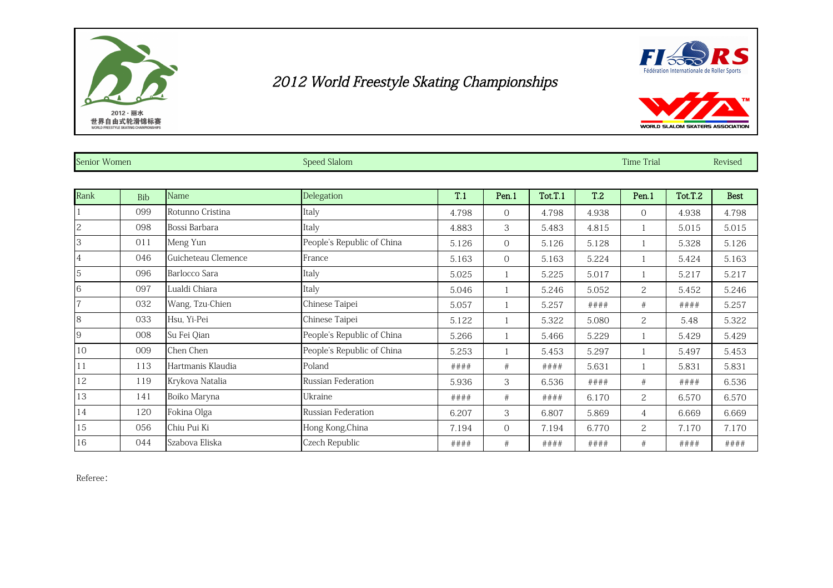



| Senior Women   |            |                     | Speed Slalom               |       |                |         |                 | <b>Time Trial</b> |         |             |
|----------------|------------|---------------------|----------------------------|-------|----------------|---------|-----------------|-------------------|---------|-------------|
|                |            |                     |                            |       |                |         |                 |                   |         |             |
| Rank           | <b>Bib</b> | Name                | Delegation                 | T.1   | Pen.1          | Tot.T.1 | T <sub>.2</sub> | Pen.1             | Tot.T.2 | <b>Best</b> |
|                | 099        | Rotunno Cristina    | Italy                      | 4.798 | $\Omega$       | 4.798   | 4.938           | $\overline{0}$    | 4.938   | 4.798       |
| 2              | 098        | Bossi Barbara       | Italy                      | 4.883 | 3              | 5.483   | 4.815           | $\mathbf{1}$      | 5.015   | 5.015       |
| 3              | 011        | Meng Yun            | People's Republic of China | 5.126 | $\overline{0}$ | 5.126   | 5.128           |                   | 5.328   | 5.126       |
| $\overline{4}$ | 046        | Guicheteau Clemence | France                     | 5.163 | $\Omega$       | 5.163   | 5.224           |                   | 5.424   | 5.163       |
| 5              | 096        | Barlocco Sara       | Italy                      | 5.025 |                | 5.225   | 5.017           |                   | 5.217   | 5.217       |
| 6              | 097        | Lualdi Chiara       | Italy                      | 5.046 |                | 5.246   | 5.052           | 2                 | 5.452   | 5.246       |
|                | 032        | Wang, Tzu-Chien     | Chinese Taipei             | 5.057 |                | 5.257   | ####            | #                 | ####    | 5.257       |
| 8              | 033        | Hsu, Yi-Pei         | Chinese Taipei             | 5.122 |                | 5.322   | 5.080           | $\overline{2}$    | 5.48    | 5.322       |
| 9              | 008        | Su Fei Qian         | People's Republic of China | 5.266 |                | 5.466   | 5.229           |                   | 5.429   | 5.429       |
| 10             | 009        | Chen Chen           | People's Republic of China | 5.253 |                | 5.453   | 5.297           |                   | 5.497   | 5.453       |
| 11             | 113        | Hartmanis Klaudia   | Poland                     | ####  | #              | ####    | 5.631           | 1                 | 5.831   | 5.831       |
| 12             | 119        | Krykova Natalia     | Russian Federation         | 5.936 | 3              | 6.536   | ####            | #                 | ####    | 6.536       |
| 13             | 141        | Boiko Maryna        | Ukraine                    | ####  | #              | ####    | 6.170           | 2                 | 6.570   | 6.570       |
| 14             | 120        | Fokina Olga         | Russian Federation         | 6.207 | 3              | 6.807   | 5.869           | 4                 | 6.669   | 6.669       |
| 15             | 056        | Chiu Pui Ki         | Hong Kong, China           | 7.194 | $\overline{0}$ | 7.194   | 6.770           | $\overline{2}$    | 7.170   | 7.170       |
| 16             | 044        | Szabova Eliska      | Czech Republic             | ####  | #              | ####    | ####            | #                 | ####    | ####        |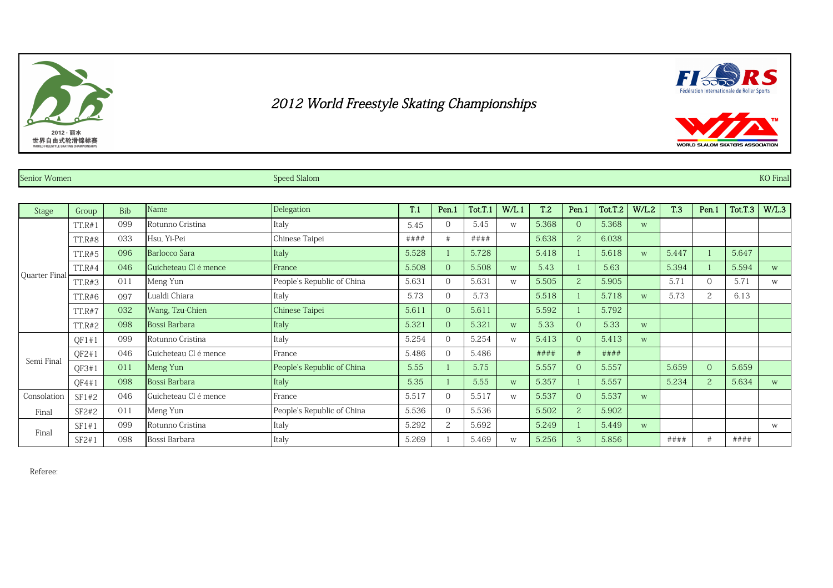





Senior Women Speed Slalom Speed Slalom Speed Slalom Senior Senior Senior Senior Women School School School School School School School Speed Slalom Speed Slalom School School School School School School School School Schoo

| <b>Stage</b>  | Group         | <b>Bib</b> | Name                  | Delegation                 | T.1     | Pen.1          | Tot.T.1 | W/L.1 | T.2   | Pen.1          | Tot.T.2 | W/L.2 | <b>T.3</b> | Pen.1          | Tot.T.3 | W/L.3 |
|---------------|---------------|------------|-----------------------|----------------------------|---------|----------------|---------|-------|-------|----------------|---------|-------|------------|----------------|---------|-------|
|               | TT.R#1        | 099        | Rotunno Cristina      | Italy                      | 5.45    | $\theta$       | 5.45    | W     | 5.368 | $\overline{0}$ | 5.368   | W     |            |                |         |       |
|               | TT.R#8        | 033        | Hsu, Yi-Pei           | Chinese Taipei             | # # # # |                | # # ##  |       | 5.638 | 2              | 6.038   |       |            |                |         |       |
|               | TT.R#5        | 096        | Barlocco Sara         | [Italy                     | 5.528   |                | 5.728   |       | 5.418 |                | 5.618   | W     | 5.447      |                | 5.647   |       |
|               | TT.R#4        | 046        | Guicheteau Cl é mence | France                     | 5.508   | $\Omega$       | 5.508   | W     | 5.43  |                | 5.63    |       | 5.394      |                | 5.594   | W     |
| Quarter Final | TT.R#3        | 011        | Meng Yun              | People's Republic of China | 5.631   | $\Omega$       | 5.631   | W     | 5.505 | 2              | 5.905   |       | 5.71       | $\Omega$       | 5.71    | W     |
|               | TT.R#6        | 097        | ualdi Chiara          | Italy                      | 5.73    | $\Omega$       | 5.73    |       | 5.518 |                | 5.718   | W     | 5.73       | $\overline{2}$ | 6.13    |       |
|               | TT.R#7        | 032        | Wang, Tzu-Chien       | Chinese Taipei             | 5.611   | $\Omega$       | 5.611   |       | 5.592 |                | 5.792   |       |            |                |         |       |
|               | 098<br>TT.R#2 |            | Bossi Barbara         | Italy                      | 5.321   | $\Omega$       | 5.321   | W     | 5.33  | $\overline{0}$ | 5.33    | W     |            |                |         |       |
|               | QF1#1         | 099        | Rotunno Cristina      | Italy                      | 5.254   | $\Omega$       | 5.254   | W     | 5.413 | $\overline{0}$ | 5.413   | W     |            |                |         |       |
|               | QF2#1         | 046        | Guicheteau Cl é mence | France                     | 5.486   | $\Omega$       | 5.486   |       | ####  | #              | ####    |       |            |                |         |       |
| Semi Final    | OF3#1         | 011        | Meng Yun              | People's Republic of China | 5.55    |                | 5.75    |       | 5.557 | $\overline{0}$ | 5.557   |       | 5.659      | $\Omega$       | 5.659   |       |
|               | QF4#1         | 098        | Bossi Barbara         | Italy                      | 5.35    |                | 5.55    | W     | 5.357 |                | 5.557   |       | 5.234      | $\overline{2}$ | 5.634   | W     |
| Consolation   | SF1#2         | 046        | Guicheteau Cl é mence | France                     | 5.517   | $\Omega$       | 5.517   | W     | 5.537 | $\overline{0}$ | 5.537   | W     |            |                |         |       |
| Final         | SF2#2         | 011        | Meng Yun              | People's Republic of China | 5.536   | $\Omega$       | 5.536   |       | 5.502 | 2              | 5.902   |       |            |                |         |       |
|               | SF1#1         | 099        | Rotunno Cristina      | Italy                      | 5.292   | $\overline{c}$ | 5.692   |       | 5.249 |                | 5.449   | W     |            |                |         | W     |
| Final         | SF2#1         | 098        | Bossi Barbara         | Italy                      | 5.269   |                | 5.469   | W     | 5.256 | 3              | 5.856   |       | ####       |                | ####    |       |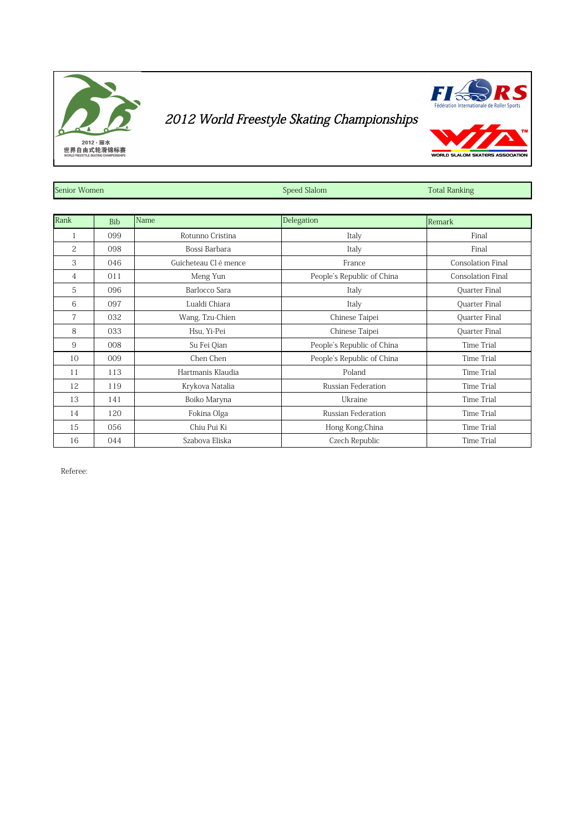



WORLD SLALOM SKATERS

| Senior Women   |            |                       | Speed Slalom               | <b>Total Ranking</b>     |
|----------------|------------|-----------------------|----------------------------|--------------------------|
|                |            |                       |                            |                          |
| Rank           | <b>Bib</b> | Name                  | Delegation                 | Remark                   |
| 1              | 099        | Rotunno Cristina      | Italy                      | Final                    |
| $\overline{c}$ | 098        | Bossi Barbara         | Italy                      | Final                    |
| 3              | 046        | Guicheteau Cl é mence | France                     | <b>Consolation Final</b> |
| 4              | 011        | Meng Yun              | People's Republic of China | <b>Consolation Final</b> |
| 5              | 096        | Barlocco Sara         | Italy                      | Quarter Final            |
| 6              | 097        | Lualdi Chiara         | Italy                      | Quarter Final            |
| 7              | 032        | Wang, Tzu-Chien       | Chinese Taipei             | Quarter Final            |
| 8              | 033        | Hsu, Yi-Pei           | Chinese Taipei             | Quarter Final            |
| 9              | 008        | Su Fei Qian           | People's Republic of China | Time Trial               |
| 10             | 009        | Chen Chen             | People's Republic of China | Time Trial               |
| 11             | 113        | Hartmanis Klaudia     | Poland                     | Time Trial               |
| 12             | 119        | Krykova Natalia       | Russian Federation         | Time Trial               |
| 13             | 141        | Boiko Maryna          | Ukraine                    | Time Trial               |
| 14             | 120        | Fokina Olga           | <b>Russian Federation</b>  | <b>Time Trial</b>        |
| 15             | 056        | Chiu Pui Ki           | Hong Kong, China           | Time Trial               |
| 16             | 044        | Szabova Eliska        | Czech Republic             | Time Trial               |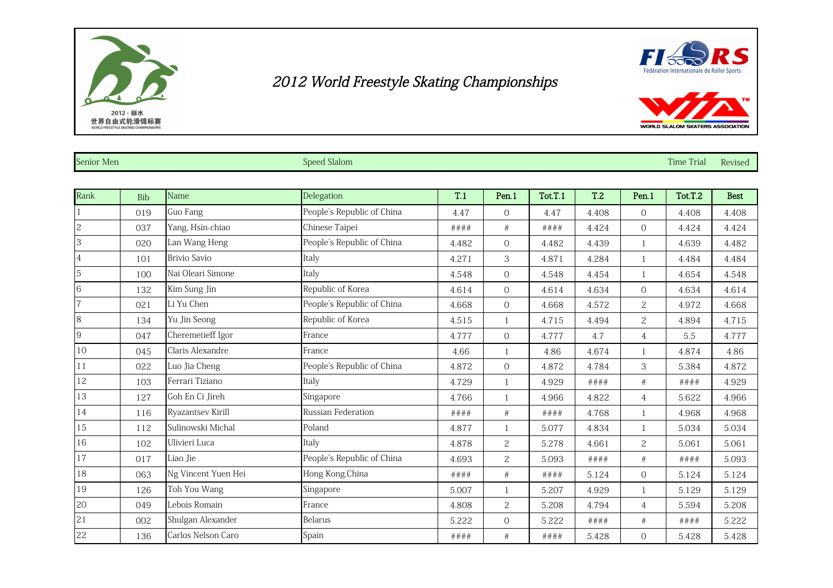



| Senior Men     |     |                     | Speed Slalom               |       |                |         |                 |                | <b>Time Trial</b> | Revised     |
|----------------|-----|---------------------|----------------------------|-------|----------------|---------|-----------------|----------------|-------------------|-------------|
|                |     |                     |                            |       |                |         |                 |                |                   |             |
| Rank           | Bib | Name                | Delegation                 | T.1   | Pen.1          | Tot.T.1 | T <sub>.2</sub> | Pen.1          | Tot.T.2           | <b>Best</b> |
|                | 019 | Guo Fang            | People's Republic of China | 4.47  | $\overline{0}$ | 4.47    | 4.408           | $\Omega$       | 4.408             | 4.408       |
| $\overline{c}$ | 037 | Yang, Hsin-chiao    | Chinese Taipei             | ####  | $\#$           | ####    | 4.424           | $\Omega$       | 4.424             | 4.424       |
| 3              | 020 | Lan Wang Heng       | People's Republic of China | 4.482 | $\overline{0}$ | 4.482   | 4.439           |                | 4.639             | 4.482       |
| $\overline{4}$ | 101 | <b>Brivio Savio</b> | Italy                      | 4.271 | 3              | 4.871   | 4.284           | $\mathbf{1}$   | 4.484             | 4.484       |
| $\overline{5}$ | 100 | Nai Oleari Simone   | Italy                      | 4.548 | $\overline{O}$ | 4.548   | 4.454           | $\mathbf{1}$   | 4.654             | 4.548       |
|                | 132 | Kim Sung Jin        | Republic of Korea          | 4.614 | $\overline{O}$ | 4.614   | 4.634           | $\Omega$       | 4.634             | 4.614       |
|                | 021 | Li Yu Chen          | People's Republic of China | 4.668 | $\overline{0}$ | 4.668   | 4.572           | $\overline{2}$ | 4.972             | 4.668       |
| $\overline{8}$ | 134 | Yu Jin Seong        | Republic of Korea          | 4.515 | $\overline{1}$ | 4.715   | 4.494           | $\overline{2}$ | 4.894             | 4.715       |
| 9              | 047 | Cheremetieff Igor   | France                     | 4.777 | $\overline{O}$ | 4.777   | 4.7             | $\overline{4}$ | 5.5               | 4.777       |
| 10             | 045 | Claris Alexandre    | France                     | 4.66  |                | 4.86    | 4.674           | $\mathbf{1}$   | 4.874             | 4.86        |
| 11             | 022 | Luo Jia Cheng       | People's Republic of China | 4.872 | $\overline{0}$ | 4.872   | 4.784           | 3              | 5.384             | 4.872       |
| 12             | 103 | Ferrari Tiziano     | Italy                      | 4.729 |                | 4.929   | # # ##          | #              | # # # #           | 4.929       |
| 13             | 127 | Goh En Ci Jireh     | Singapore                  | 4.766 |                | 4.966   | 4.822           | $\overline{4}$ | 5.622             | 4.966       |
| 14             | 116 | Ryazantsev Kirill   | Russian Federation         | ####  | #              | ####    | 4.768           | $\mathbf{1}$   | 4.968             | 4.968       |
| 15             | 112 | Sulinowski Michal   | Poland                     | 4.877 |                | 5.077   | 4.834           | $\mathbf{1}$   | 5.034             | 5.034       |
| 16             | 102 | Ulivieri Luca       | Italy                      | 4.878 | $\overline{c}$ | 5.278   | 4.661           | $\overline{2}$ | 5.061             | 5.061       |
| 17             | 017 | Liao Jie            | People's Republic of China | 4.693 | $\mathbf{2}$   | 5.093   | ####            | #              | ####              | 5.093       |
| 18             | 063 | Ng Vincent Yuen Hei | Hong Kong, China           | ####  | #              | ####    | 5.124           | $\overline{0}$ | 5.124             | 5.124       |
| 19             | 126 | Toh You Wang        | Singapore                  | 5.007 |                | 5.207   | 4.929           |                | 5.129             | 5.129       |
| 20             | 049 | Lebois Romain       | France                     | 4.808 | $\overline{c}$ | 5.208   | 4.794           | 4              | 5.594             | 5.208       |

21 002 Shulgan Alexander Belarus Belarus 5.222 0 5.222 #### # # #### 5.222 22 | 136 | Carlos Nelson Caro | Spain #### | # #### | 5.428 | 0 | 5.428 | 5.428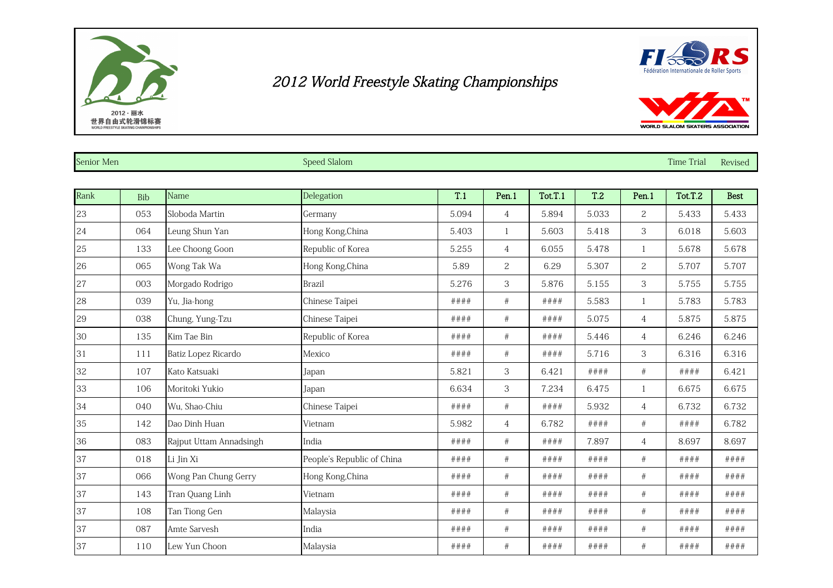



| Senior Men |     |                         | <b>Speed Slalom</b>        |       |                |         |                 |                       | <b>Time Trial</b> | Revised     |
|------------|-----|-------------------------|----------------------------|-------|----------------|---------|-----------------|-----------------------|-------------------|-------------|
| Rank       | Bib | Name                    | Delegation                 | T.1   | Pen.1          | Tot.T.1 | T <sub>.2</sub> | Pen.1                 | Tot.T.2           | <b>Best</b> |
| 23         | 053 | Sloboda Martin          | Germany                    | 5.094 | 4              | 5.894   | 5.033           | $\mathbf{2}^{\prime}$ | 5.433             | 5.433       |
| 24         | 064 | Leung Shun Yan          | Hong Kong, China           | 5.403 | 1              | 5.603   | 5.418           | 3                     | 6.018             | 5.603       |
| 25         | 133 | Lee Choong Goon         | Republic of Korea          | 5.255 | $\overline{4}$ | 6.055   | 5.478           |                       | 5.678             | 5.678       |
| 26         | 065 | Wong Tak Wa             | Hong Kong, China           | 5.89  | $\overline{c}$ | 6.29    | 5.307           | $\overline{c}$        | 5.707             | 5.707       |
| 27         | 003 | Morgado Rodrigo         | <b>Brazil</b>              | 5.276 | 3              | 5.876   | 5.155           | 3                     | 5.755             | 5.755       |
| 28         | 039 | Yu, Jia-hong            | Chinese Taipei             | ####  | $\#$           | ####    | 5.583           |                       | 5.783             | 5.783       |
| 29         | 038 | Chung, Yung-Tzu         | Chinese Taipei             | ####  | $\#$           | ####    | 5.075           | $\overline{4}$        | 5.875             | 5.875       |
| 30         | 135 | Kim Tae Bin             | Republic of Korea          | ####  | $\#$           | ####    | 5.446           | $\overline{4}$        | 6.246             | 6.246       |
| 31         | 111 | Batiz Lopez Ricardo     | Mexico                     | ####  | $\#$           | ####    | 5.716           | 3                     | 6.316             | 6.316       |
| 32         | 107 | Kato Katsuaki           | Japan                      | 5.821 | 3              | 6.421   | ####            | $\#$                  | ####              | 6.421       |
| 33         | 106 | Moritoki Yukio          | Japan                      | 6.634 | 3              | 7.234   | 6.475           |                       | 6.675             | 6.675       |
| 34         | 040 | Wu, Shao-Chiu           | Chinese Taipei             | ####  | $\#$           | ####    | 5.932           | $\overline{4}$        | 6.732             | 6.732       |
| 35         | 142 | Dao Dinh Huan           | Vietnam                    | 5.982 | 4              | 6.782   | ####            | $\#$                  | ####              | 6.782       |
| 36         | 083 | Rajput Uttam Annadsingh | India                      | ####  | #              | # # ##  | 7.897           | $\overline{4}$        | 8.697             | 8.697       |
| 37         | 018 | Li Jin Xi               | People's Republic of China | ####  | $\#$           | ####    | ####            | #                     | ####              | ####        |
| 37         | 066 | Wong Pan Chung Gerry    | Hong Kong, China           | ####  | $\#$           | ####    | ####            | $\#$                  | ####              | # # ##      |
| 37         | 143 | Tran Quang Linh         | Vietnam                    | ####  | $\#$           | ####    | ####            | #                     | ####              | ####        |
| 37         | 108 | Tan Tiong Gen           | Malaysia                   | ####  | #              | ####    | ####            | #                     | ####              | ####        |

 087 Amte Sarvesh India #### # #### #### # #### #### 37 | 110 |Lew Yun Choon | Malaysia | #### | # | #### | ## | #### | #### | #### | ####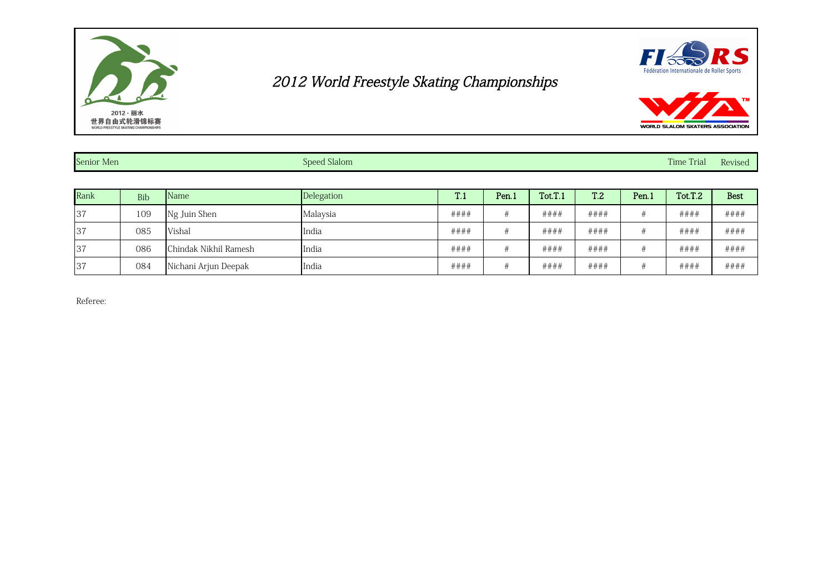



| Senior Men |     |                       | Speed Slalom |      |       |         |                 |       | <b>Time Trial</b> | Revised     |
|------------|-----|-----------------------|--------------|------|-------|---------|-----------------|-------|-------------------|-------------|
|            |     |                       |              |      |       |         |                 |       |                   |             |
| Rank       | Bib | <b>Name</b>           | Delegation   | T.1  | Pen.1 | Tot.T.1 | T <sub>.2</sub> | Pen.1 | Tot.T.2           | <b>Best</b> |
| 137        | 109 | Ng Juin Shen          | Malaysia     | #### |       | ####    | ####            |       | ####              | ####        |
| 137        | 085 | Vishal                | India        | #### | #     | ####    | ####            |       | ####              | ####        |
| 137        | 086 | Chindak Nikhil Ramesh | India        | #### |       | ####    | ####            |       | ####              | ####        |
| 37         | 084 | Nichani Arjun Deepak  | India        | #### |       | ####    | ####            |       | ####              | ####        |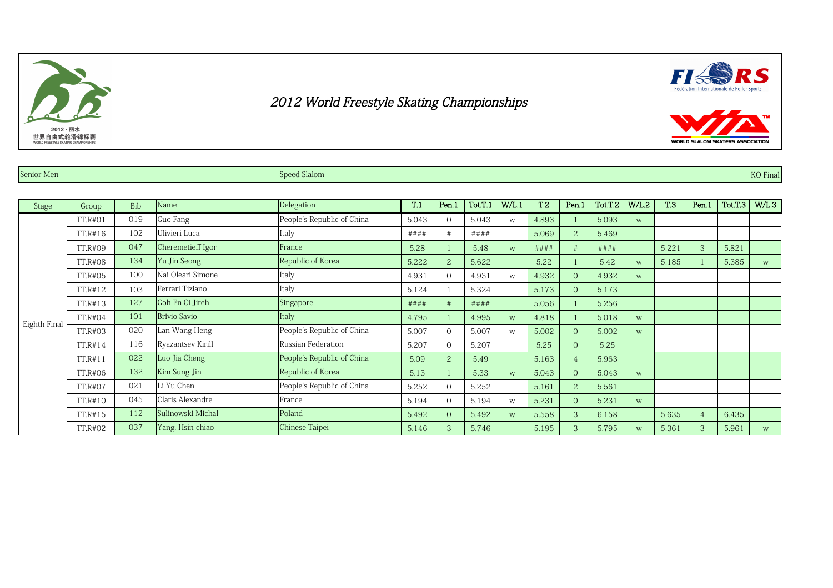#### Senior Men Senior Men Speed Slalom Speed Slalom Speed Slalom Speed Slalom Speed Slalom Speed Slalom Speed Slalom Speed Slalom Speed Slalom Speed Slalom Speed Slalom Speed Slalom Speed Slalom Speed Slalom Speed Slalom Speed

| Stage        | Group   | <b>Bib</b> | Name                | Delegation                 | T.1     | Pen.1          | Tot.T.1 | W/L.1 | T <sub>.2</sub> | Pen.1          | Tot.T.2 | W/L.2 | <b>T.3</b> | Pen.1          | Tot.T.3 | W/L.3 |
|--------------|---------|------------|---------------------|----------------------------|---------|----------------|---------|-------|-----------------|----------------|---------|-------|------------|----------------|---------|-------|
|              | TT.R#01 | 019        | Guo Fang            | People's Republic of China | 5.043   | $\Omega$       | 5.043   | W     | 4.893           |                | 5.093   | W     |            |                |         |       |
|              | TT.R#16 | 102        | Ulivieri Luca       | Italy                      | # # # # | #              | ####    |       | 5.069           |                | 5.469   |       |            |                |         |       |
|              | TT.R#09 | 047        | Cheremetieff Igor   | France                     | 5.28    |                | 5.48    | W     | ####            |                | ####    |       | 5.221      | 3              | 5.821   |       |
|              | TT.R#08 | 134        | Yu Jin Seong        | Republic of Korea          | 5.222   | 2              | 5.622   |       | 5.22            |                | 5.42    | W     | 5.185      |                | 5.385   | W     |
|              | TT.R#05 | 100        | Nai Oleari Simone   | Italy                      | 4.931   | $\Omega$       | 4.931   | W     | 4.932           | $\Omega$       | 4.932   | W     |            |                |         |       |
|              | TT.R#12 | 103        | Ferrari Tiziano     | Italy                      | 5.124   |                | 5.324   |       | 5.173           | $\overline{0}$ | 5.173   |       |            |                |         |       |
|              | TT.R#13 | 127        | Goh En Ci Jireh     | Singapore                  | ####    | #              | ####    |       | 5.056           |                | 5.256   |       |            |                |         |       |
|              | TT.R#04 | 101        | <b>Brivio Savio</b> | Italy                      | 4.795   |                | 4.995   | W     | 4.818           |                | 5.018   | W     |            |                |         |       |
|              | TT.R#03 | 020        | Lan Wang Heng       | People's Republic of China | 5.007   | $\Omega$       | 5.007   | W     | 5.002           | $\overline{0}$ | 5.002   | W     |            |                |         |       |
| Eighth Final | TT.R#14 | 116        | Ryazantsev Kirill   | Russian Federation         | 5.207   | $\overline{0}$ | 5.207   |       | 5.25            | $\Omega$       | 5.25    |       |            |                |         |       |
|              | TT.R#11 | 022        | Luo Jia Cheng       | People's Republic of China | 5.09    | $\overline{2}$ | 5.49    |       | 5.163           |                | 5.963   |       |            |                |         |       |
|              | TT.R#06 | 132        | Kim Sung Jin        | Republic of Korea          | 5.13    |                | 5.33    | W     | 5.043           | $\Omega$       | 5.043   | W     |            |                |         |       |
|              | TT.R#07 | 021        | Li Yu Chen          | People's Republic of China | 5.252   | $\Omega$       | 5.252   |       | 5.161           | 2              | 5.561   |       |            |                |         |       |
|              | TT.R#10 | 045        | Claris Alexandre    | France                     | 5.194   | $\overline{0}$ | 5.194   | W     | 5.231           | $\Omega$       | 5.231   | W     |            |                |         |       |
|              | TT.R#15 | 112        | Sulinowski Michal   | Poland                     | 5.492   | $\overline{0}$ | 5.492   | W     | 5.558           | 3              | 6.158   |       | 5.635      | $\overline{4}$ | 6.435   |       |
|              | TT.R#02 | 037        | Yang, Hsin-chiao    | Chinese Taipei             | 5.146   | 3              | 5.746   |       | 5.195           |                | 5.795   | W     | 5.361      | 3              | 5.961   | W     |





WORLD SLALOM SKATERS ASSOCIATION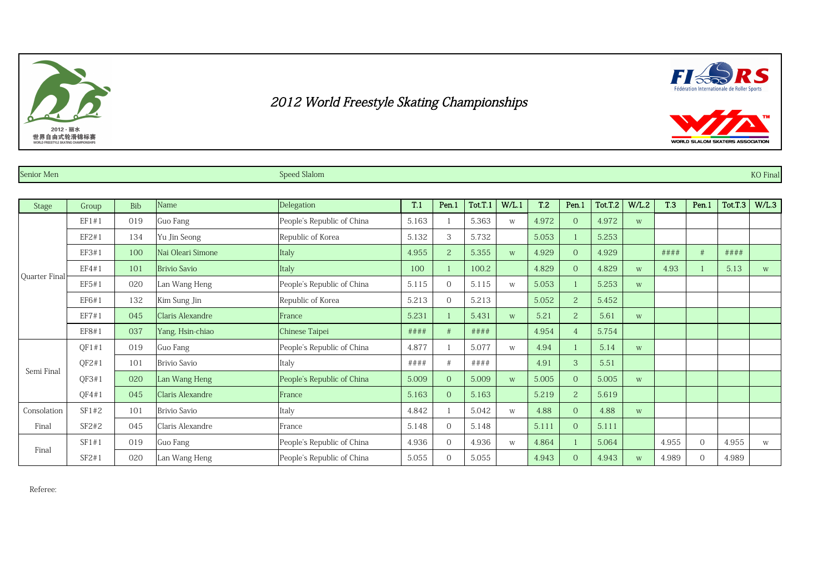Senior Men Senior Men Speed Slalom Speed Slalom Speed Slalom Speed Slalom Speed Slalom Speed Slalom Speed Slalom Speed Slalom Speed Slalom Speed Slalom Speed Slalom Speed Slalom Speed Slalom Speed Slalom Speed Slalom Speed

| Stage         | Group | <b>Bib</b> | Name                | Delegation                 | T.1   | Pen.1          | Tot.T.1 | W/L.1 | T <sub>.2</sub> | Pen.1          | Tot.T.2 | W/L.2 | <b>T.3</b> | Pen.1    | Tot.T.3 | W/L.3 |
|---------------|-------|------------|---------------------|----------------------------|-------|----------------|---------|-------|-----------------|----------------|---------|-------|------------|----------|---------|-------|
|               | EF1#1 | 019        | Guo Fang            | People's Republic of China | 5.163 |                | 5.363   | W     | 4.972           | $\Omega$       | 4.972   | W     |            |          |         |       |
|               | EF2#1 | 134        | Yu Jin Seong        | Republic of Korea          | 5.132 | 3              | 5.732   |       | 5.053           |                | 5.253   |       |            |          |         |       |
|               | EF3#1 | 100        | Nai Oleari Simone   | Italy                      | 4.955 | 2              | 5.355   | W     | 4.929           | $\Omega$       | 4.929   |       | ####       | #        | ####    |       |
|               | EF4#1 | 101        | <b>Brivio Savio</b> | Italy                      | 100   |                | 100.2   |       | 4.829           | $\Omega$       | 4.829   | W     | 4.93       |          | 5.13    | W     |
| Quarter Final | EF5#1 | 020        | Lan Wang Heng       | People's Republic of China | 5.115 | $\overline{0}$ | 5.115   | W     | 5.053           |                | 5.253   | W     |            |          |         |       |
|               | EF6#1 | 132        | Kim Sung Jin        | Republic of Korea          | 5.213 | $\Omega$       | 5.213   |       | 5.052           | 2              | 5.452   |       |            |          |         |       |
|               | EF7#1 | 045        | Claris Alexandre    | France                     | 5.231 |                | 5.431   | W     | 5.21            | 2              | 5.61    | W     |            |          |         |       |
|               | EF8#1 | 037        | Yang, Hsin-chiao    | Chinese Taipei             | ####  | #              | ####    |       | 4.954           | $\overline{4}$ | 5.754   |       |            |          |         |       |
|               | OF1#1 | 019        | Guo Fang            | People's Republic of China | 4.877 |                | 5.077   | W     | 4.94            |                | 5.14    | W     |            |          |         |       |
|               | QF2#1 | 101        | <b>Brivio Savio</b> | Italy                      | ####  | #              | ####    |       | 4.91            | 3              | 5.51    |       |            |          |         |       |
| Semi Final    | OF3#1 | 020        | Lan Wang Heng       | People's Republic of China | 5.009 | $\overline{0}$ | 5.009   | W     | 5.005           | $\Omega$       | 5.005   | W     |            |          |         |       |
|               | QF4#1 | 045        | Claris Alexandre    | France                     | 5.163 | $\Omega$       | 5.163   |       | 5.219           | $\overline{2}$ | 5.619   |       |            |          |         |       |
| Consolation   | SF1#2 | 101        | Brivio Savio        | Italy                      | 4.842 |                | 5.042   | W     | 4.88            | $\Omega$       | 4.88    | W     |            |          |         |       |
| Final         | SF2#2 | 045        | Claris Alexandre    | France                     | 5.148 | $\Omega$       | 5.148   |       | 5.111           | $\Omega$       | 5.111   |       |            |          |         |       |
|               | SF1#1 | 019        | Guo Fang            | People's Republic of China | 4.936 | $\Omega$       | 4.936   | W     | 4.864           |                | 5.064   |       | 4.955      | $\Omega$ | 4.955   | W     |
| Final         | SF2#1 | 020        | Lan Wang Heng       | People's Republic of China | 5.055 | $\Omega$       | 5.055   |       | 4.943           | $\Omega$       | 4.943   | W     | 4.989      | $\Omega$ | 4.989   |       |

Referee:





WORLD SLALOM SKATERS ASSOCIATION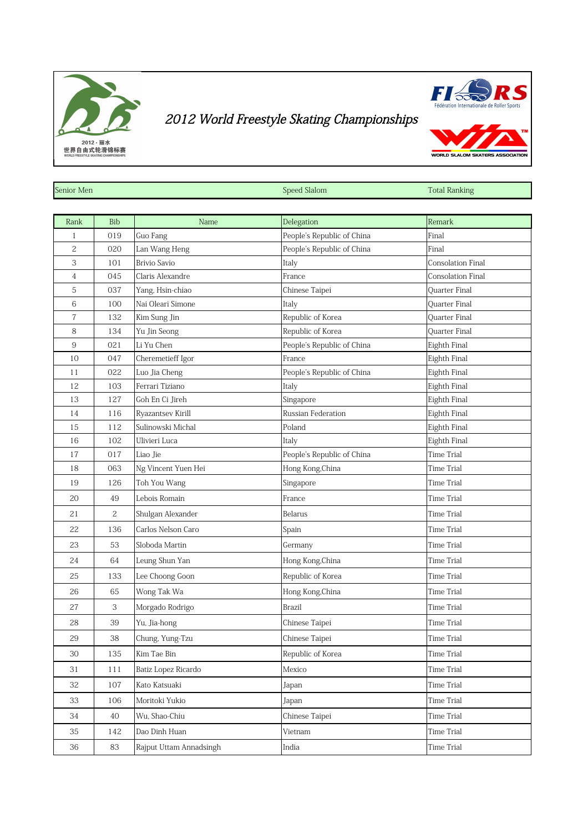



WORLD SLALOM SKATERS

| Senior Men     |                |                     | Speed Slalom               | <b>Total Ranking</b> |
|----------------|----------------|---------------------|----------------------------|----------------------|
|                |                |                     |                            |                      |
| Rank           | Bib            | Name                | Delegation                 | Remark               |
| 1              | 019            | Guo Fang            | People's Republic of China | Final                |
| 2              | 020            | Lan Wang Heng       | People's Republic of China | Final                |
| 3              | 101            | <b>Brivio Savio</b> | Italy                      | Consolation Final    |
| $\overline{4}$ | 045            | Claris Alexandre    | France                     | Consolation Final    |
| 5              | 037            | Yang, Hsin-chiao    | Chinese Taipei             | Quarter Final        |
| 6              | 100            | Nai Oleari Simone   | Italy                      | <b>Ouarter Final</b> |
| $\overline{7}$ | 132            | Kim Sung Jin        | Republic of Korea          | Quarter Final        |
| 8              | 134            | Yu Jin Seong        | Republic of Korea          | Quarter Final        |
| $\overline{9}$ | 021            | Li Yu Chen          | People's Republic of China | Eighth Final         |
| 10             | 047            | Cheremetieff Igor   | France                     | Eighth Final         |
| 11             | 022            | Luo Jia Cheng       | People's Republic of China | Eighth Final         |
| 12             | 103            | Ferrari Tiziano     | Italy                      | Eighth Final         |
| 13             | 127            | Goh En Ci Jireh     | Singapore                  | Eighth Final         |
| 14             | 116            | Ryazantsev Kirill   | Russian Federation         | Eighth Final         |
| 15             | 112            | Sulinowski Michal   | Poland                     | Eighth Final         |
| 16             | 102            | Ulivieri Luca       | Italy                      | Eighth Final         |
| 17             | 017            | Liao Jie            | People's Republic of China | Time Trial           |
| 18             | 063            | Ng Vincent Yuen Hei | Hong Kong, China           | <b>Time Trial</b>    |
| 19             | 126            | Toh You Wang        | Singapore                  | Time Trial           |
| 20             | 49             | Lebois Romain       | France                     | <b>Time Trial</b>    |
| 21             | $\overline{c}$ | Shulgan Alexander   | Belarus                    | <b>Time Trial</b>    |
| 22             | 136            | Carlos Nelson Caro  | Spain                      | <b>Time Trial</b>    |
| 23             | 53             | Sloboda Martin      | Germany                    | <b>Time Trial</b>    |
| 24             | 64             | Leung Shun Yan      | Hong Kong, China           | Time Trial           |
| 25             | 133            | Lee Choong Goon     | Republic of Korea          | <b>Time Trial</b>    |
| 26             | 65             | Wong Tak Wa         | Hong Kong, China           | <b>Time Trial</b>    |
| 27             | 3              | Morgado Rodrigo     | Brazil                     | <b>Time Trial</b>    |
| 28             | 39             | Yu, Jia-hong        | Chinese Taipei             | Time Trial           |
| 29             | 38             | Chung, Yung-Tzu     | Chinese Taipei             | Time Trial           |
| $30\,$         | 135            | Kim Tae Bin         | Republic of Korea          | Time Trial           |
| 31             | 111            | Batiz Lopez Ricardo | Mexico                     | Time Trial           |
| 32             | 107            | Kato Katsuaki       | Japan                      | Time Trial           |
| 33             | 106            | Moritoki Yukio      | Japan                      | Time Trial           |
| 34             | 40             | Wu, Shao-Chiu       | Chinese Taipei             | <b>Time Trial</b>    |
| $35\,$         | 142            | Dao Dinh Huan       | Vietnam                    | Time Trial           |

36 83 Rajput Uttam Annadsingh India India Number 2016 11 Rajput Uttam Annadsingh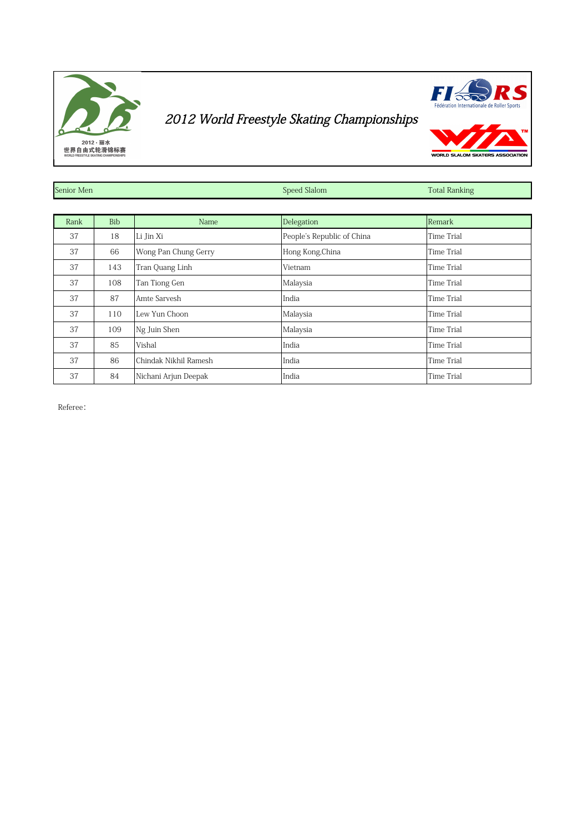



WORLD SLALOM SKATERS

| Senior Men |            |                       | Speed Slalom               | <b>Total Ranking</b> |
|------------|------------|-----------------------|----------------------------|----------------------|
|            |            |                       |                            |                      |
| Rank       | <b>Bib</b> | Name                  | Delegation                 | Remark               |
| 37         | 18         | Li Jin Xi             | People's Republic of China | Time Trial           |
| 37         | 66         | Wong Pan Chung Gerry  | Hong Kong, China           | <b>Time Trial</b>    |
| 37         | 143        | Tran Quang Linh       | Vietnam                    | <b>Time Trial</b>    |
| 37         | 108        | Tan Tiong Gen         | Malaysia                   | <b>Time Trial</b>    |
| 37         | 87         | Amte Sarvesh          | India                      | <b>Time Trial</b>    |
| 37         | 110        | Lew Yun Choon         | Malaysia                   | Time Trial           |
| 37         | 109        | Ng Juin Shen          | Malaysia                   | Time Trial           |
| 37         | 85         | Vishal                | India                      | Time Trial           |
| 37         | 86         | Chindak Nikhil Ramesh | India                      | Time Trial           |
| 37         | 84         | Nichani Arjun Deepak  | India                      | <b>Time Trial</b>    |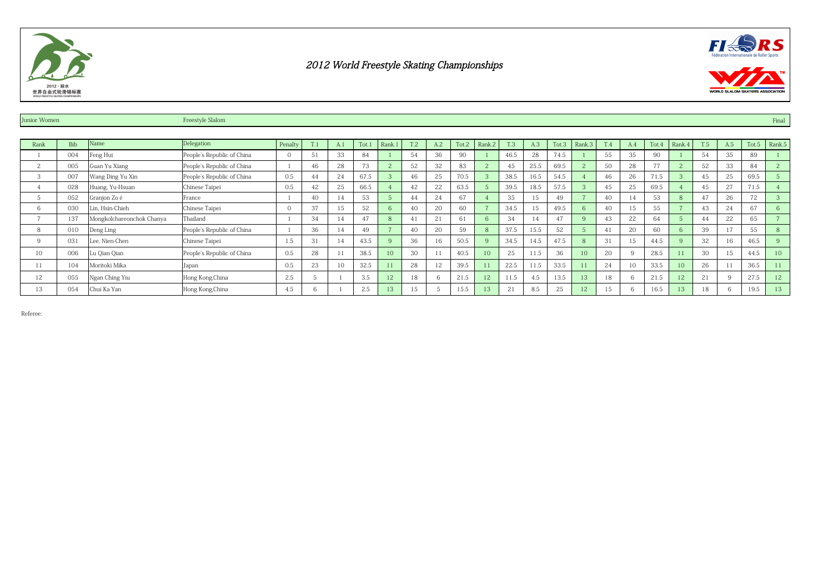



| Junior Women  |            |                           | Freestyle Slalom           |                |    |     |      |                 |     |     |       |                |      |      |       |                 |            |          |       |        |     |     |       | Final          |
|---------------|------------|---------------------------|----------------------------|----------------|----|-----|------|-----------------|-----|-----|-------|----------------|------|------|-------|-----------------|------------|----------|-------|--------|-----|-----|-------|----------------|
|               |            |                           |                            |                |    |     |      |                 |     |     |       |                |      |      |       |                 |            |          |       |        |     |     |       |                |
| Rank          | <b>Bib</b> | Name                      | Delegation                 | Penalty        | T. | A.1 | Tot. | Rank.1          | T.2 | A.2 | Tot.2 | Rank.2         | T.3  | A.3  | Tot.3 | Rank.3          | <b>T.4</b> | A.4      | Tot.4 | Rank.4 | T.5 | A.5 | Tot.5 | Rank.5         |
|               | 004        | Feng Hui                  | People's Republic of China | $\overline{0}$ | 51 | 33  | 84   |                 | 54  | 36  | 90    |                | 46.5 | 28   | 74.5  |                 | 55         | 35       | 90    |        | 54  | 35  | 89    |                |
| $\mathcal{L}$ | 005        | Guan Yu Xiang             | People's Republic of China |                | 46 | 28  | 73   |                 | 52  | 32  | 83    | $\overline{c}$ | 45   | 25.5 | 69.5  |                 | 50         | 28       | 77    |        | 52  | 33  | 84    | $\overline{c}$ |
| 3             | 007        | Wang Ding Yu Xin          | People's Republic of China | 0.5            | 44 | 24  | 67.5 |                 | 46  | 25  | 70.5  | 3              | 38.5 | 16.5 | 54.5  |                 | 46         | 26       | 71.5  |        | 45  | 25  | 69.5  | -5             |
|               | 028        | Huang, Yu-Hsuan           | Chinese Taipei             | 0.5            | 42 | 25  | 66.5 |                 | 42  | 22  | 63.5  | $\overline{5}$ | 39.5 | 18.5 | 57.5  | $\mathcal{B}$   | 45         | 25       | 69.5  |        | 45  | 27  | 71.5  |                |
|               | 052        | Granjon Zo é              | lFrance                    |                | 40 |     | 53   |                 | 44  | 24  | 67    |                | 35   | 15   | 49    |                 | 40         | 14       | 53    |        | 47  | 26  | 72    |                |
| 6             | 030        | Lin, Hsin-Chieh           | Chinese Taipei             | $\overline{0}$ | 37 | 15  | 52   |                 | 40  | 20  | 60    |                | 34.5 | 15   | 49.5  | -6              | 40         | 15       | 55    |        | 43  | 24  | 67    | 6              |
|               | 137        | Mongkolchareonchok Chanya | Thailand                   |                | 34 |     | 47   |                 | 41  | 21  | 61    | 6              | 34   | 14   | 47    | $\alpha$        |            | 22       | 64    |        | 44  | 22  | 65    | - -            |
| 8             | 010        | Deng Ling                 | People's Republic of China |                | 36 | 14  | 49   |                 | 40  | 20  | 59    | 8              | 37.5 | 15.5 | 52    |                 | 41         | 20       | 60    |        | 39  | 17  | 55    | 8              |
| 9             | 031        | Lee, Nien-Chen            | Chinese Taipei             | 1.5            | 31 | 14  | 43.5 |                 | 36  | 16  | 50.5  | 9              | 34.5 | 14.5 | 47.5  | -8              | 31         | 15       | 44.5  |        | 32  | 16  | 46.5  |                |
| 10            | 006        | Lu Qian Qian              | People's Republic of China | 0.5            | 28 | 11  | 38.5 | 10 <sup>1</sup> | 30  |     | 40.5  | 10             | 25   | 11.5 | 36    | 10 <sup>2</sup> | 20         | $\Omega$ | 28.5  |        | 30  | .5  | 44.5  | 10             |
|               | 104        | Moritoki Mika             | Japan                      | 0.5            | 23 | 10  | 32.5 |                 | 28  | 12  | 39.5  | 11             | 22.5 | 11.5 | 33.5  |                 | 24         | 10       | 33.5  | 10     | 26  |     | 36.5  | 11             |
| 12            | 055        | Ngan Ching Yiu            | Hong Kong, China           | 2.5            |    |     | 3.5  | 12              | 18  |     | 21.5  | 12             | 11.5 | 4.5  | 13.5  | 13              | 18         | 6        | 21.5  | 12     | 21  |     | 27.5  | 12             |
| 13            | 054        | Chui Ka Yan               | Hong Kong, China           | 4.5            |    |     | 2.5  |                 | 15  |     |       | 13             | 21   | 8.5  | 25    |                 | 15         |          | 16.5  | 13     | 18  |     | 19.5  | 13             |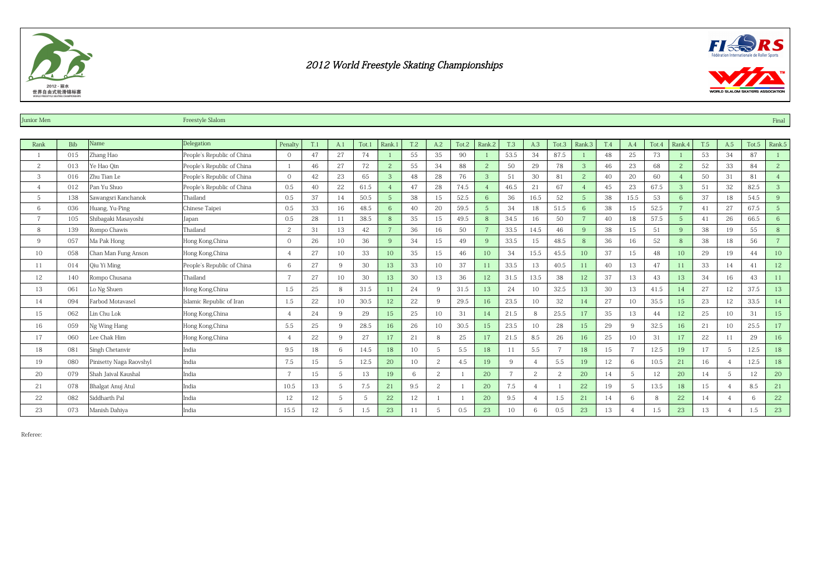



| <b>Junior Men</b> |            |                         | Freestyle Slalom           |                 |     |                |       |                |     |                          |       |                 |            |      |                |                |            |                |       |                |            |     |       | Final          |
|-------------------|------------|-------------------------|----------------------------|-----------------|-----|----------------|-------|----------------|-----|--------------------------|-------|-----------------|------------|------|----------------|----------------|------------|----------------|-------|----------------|------------|-----|-------|----------------|
|                   |            |                         |                            |                 |     |                |       |                |     |                          |       |                 |            |      |                |                |            |                |       |                |            |     |       |                |
| Rank              | <b>Bib</b> | Name                    | Delegation                 | Penalty         | T.1 | A.1            | Tot.1 | Rank.1         | T.2 | A.2                      | Tot.2 | Rank.2          | <b>T.3</b> | A.3  | Tot.3          | Rank.3         | <b>T.4</b> | A.4            | Tot.4 | Rank.4         | <b>T.5</b> | A.5 | Tot.5 | Rank.5         |
|                   | 015        | Zhang Hao               | People's Republic of China | $\mathbf{0}$    | 47  | 27             | 74    |                | 55  | 35                       | 90    |                 | 53.5       | 34   | 87.5           |                | 48         | 25             | 73    |                | 53         | 34  | 87    |                |
| 2                 | 013        | Ye Hao Oin              | People's Republic of China |                 | 46  | 27             | 72    | $\overline{c}$ | 55  | 34                       | 88    | $\mathbf{2}$    | 50         | 29   | 78             | 3              | 46         | 23             | 68    | $\overline{2}$ | 52         | 33  | 84    | $\mathbf{2}$   |
| 3                 | 016        | Zhu Tian Le             | People's Republic of China | $\Omega$        | 42  | 23             | 65    | 3              | 48  | 28                       | 76    | 3               | 51         | 30   | 81             |                | 40         | 20             | 60    |                | 50         | 31  | 81    | $\overline{4}$ |
|                   | 012        | Pan Yu Shuo             | People's Republic of China | 0.5             | 40  | 22             | 61.5  |                | 47  | 28                       | 74.5  | $\overline{4}$  | 46.5       | 21   | 67             |                | 45         | 23             | 67.5  | 3              | 51         | 32  | 82.5  | 3              |
| 5                 | 138        | Sawangsri Kanchanok     | Thailand                   | 0.5             | 37  | 14             | 50.5  |                | 38  | 15                       | 52.5  | 6               | 36         | 16.5 | 52             | 5              | 38         | 15.5           | 53    | 6              | 37         | 18  | 54.5  | 9              |
| 6                 | 036        | Huang, Yu-Ping          | Chinese Taipei             | 0.5             | 33  | 16             | 48.5  |                | 40  | 20                       | 59.5  | $5\overline{)}$ | 34         | 18   | 51.5           | 6              | 38         | 15             | 52.5  |                | 41         | 27  | 67.5  | 5              |
| $\overline{ }$    | 105        | Shibagaki Masayoshi     | Japan                      | 0.5             | 28  | 11             | 38.5  |                | 35  | 15                       | 49.5  | 8               | 34.5       | 16   | 50             |                | 40         | 18             | 57.5  | $\sqrt{5}$     | 41         | 26  | 66.5  | 6              |
| 8                 | 139        | Rompo Chawis            | Thailand                   | 2               | 31  | 13             | 42    |                | 36  | 16                       | 50    | $\overline{7}$  | 33.5       | 14.5 | 46             | $\overline{9}$ | 38         | 15             | 51    | 9              | 38         | 19  | 55    | 8              |
| 9                 | 057        | Ma Pak Hong             | Hong Kong, China           | $\overline{0}$  | 26  | 10             | 36    | Q              | 34  | 15                       | 49    | 9               | 33.5       | 15   | 48.5           | 8              | 36         | 16             | 52    | 8              | 38         | 18  | 56    | $\overline{7}$ |
| 10                | 058        | Chan Man Fung Anson     | Hong Kong, China           | $\overline{4}$  | 27  | 10             | 33    | 10             | 35  | 15                       | 46    | 10              | 34         | 15.5 | 45.5           | 10             | 37         | 15             | 48    | 10             | 29         | 19  | 44    | 10             |
| 11                | 014        | Qiu Yi Ming             | People's Republic of China | 6               | 27  | 9              | 30    | 13             | 33  | 10                       | 37    | 11              | 33.5       | 13   | 40.5           | 11             | 40         | 13             | 47    | 11             | 33         | 14  | 41    | 12             |
| 12                | 140        | Rompo Chusana           | Thailand                   | $7\overline{ }$ | 27  | 10             | 30    | 13             | 30  | 13                       | 36    | 12              | 31.5       | 13.5 | 38             | 12             | 37         | 13             | 43    | 13             | 34         | 16  | 43    | 11             |
| 13                | 061        | Lo Ng Shuen             | Hong Kong, China           | 1.5             | 25  | 8              | 31.5  | 11             | 24  | $\mathbf{Q}$             | 31.5  | 13              | 24         | 10   | 32.5           | 13             | 30         | 13             | 41.5  | 14             | 27         | 12  | 37.5  | 13             |
| 14                | 094        | Farbod Motavasel        | Islamic Republic of Iran   | 1.5             | 22  | 10             | 30.5  | 12             | 22  | 9                        | 29.5  | 16              | 23.5       | 10   | 32             | 14             | 27         | 10             | 35.5  | 15             | 23         | 12  | 33.5  | 14             |
| 15                | 062        | Lin Chu Lok             | Hong Kong, China           | $\overline{4}$  | 24  | 9              | 29    | 15             | 25  | 10                       | 31    | 14              | 21.5       | 8    | 25.5           | 17             | 35         | 13             | 44    | 12             | 25         | 10  | 31    | 15             |
| 16                | 059        | Ng Wing Hang            | Hong Kong, China           | 5.5             | 25  | 9              | 28.5  | 16             | 26  | 10                       | 30.5  | 15              | 23.5       | 10   | 28             | 15             | 29         | 9              | 32.5  | 16             | 21         | 10  | 25.5  | 17             |
| 17                | 060        | Lee Chak Him            | Hong Kong, China           | $\overline{4}$  | 22  | 9              | 27    | 17             | 21  |                          | 25    | 17              | 21.5       | 8.5  | 26             | 16             | 25         | 10             | 31    | 17             | 22         | 11  | 29    | 16             |
| 18                | 081        | Singh Chetanvir         | India                      | 9.5             | 18  | 6              | 14.5  | 18             | 10  | $\sqrt{2}$               | 5.5   | 18              | 11         | 5.5  | $\overline{7}$ | 18             | 15         | $\overline{7}$ | 12.5  | 19             | 17         | 5   | 12.5  | 18             |
| 19                | 080        | Pinisetty Naga Raovshyl | India                      | 7.5             | 15  | 5              | 12.5  | 20             | 10  | $\overline{c}$           | 4.5   | 19              | 9          |      | 5.5            | 19             | 12         | 6              | 10.5  | 21             | 16         |     | 12.5  | 18             |
| 20                | 079        | Shah Jaival Kaushal     | India                      | $7\overline{ }$ | 15  | 5              | 13    | 19             | 6   | $\overline{c}$           |       | 20              |            | 2    | 2              | 20             | 14         | 5              | 12    | 20             | 14         | 5   | 12    | 20             |
| 21                | 078        | Bhalgat Anuj Atul       | India                      | 10.5            | 13  | 5              | 7.5   | 21             | 9.5 | $\overline{\mathcal{L}}$ |       | 20              | 7.5        |      |                | 22             | 19         | 5              | 13.5  | 18             | 15         |     | 8.5   | 21             |
| 22                | 082        | Siddharth Pal           | India                      | 12              | 12  | 5              | 5     | 22             | 12  |                          |       | 20              | 9.5        |      | 1.5            | 21             | 14         | 6              | 8     | 22             | 14         |     | 6     | 22             |
| 23                | 073        | Manish Dahiya           | India                      | 15.5            | 12  | $\overline{5}$ | 1.5   | 23             | 11  |                          | 0.5   | 23              | 10         | 6    | 0.5            | 23             | 13         |                | 1.5   | 23             | 13         |     | 1.5   | 23             |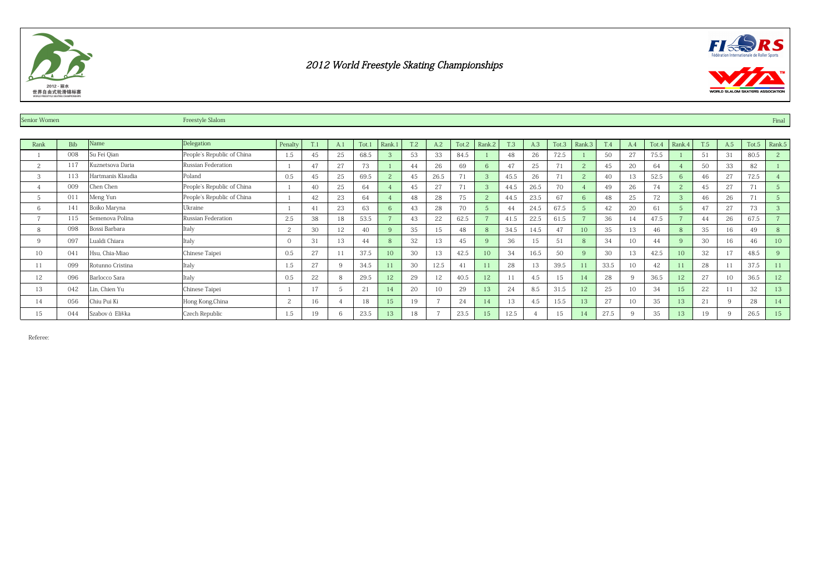



| Senior Women |            |                   | Freestyle Slalom           |          |                |             |       |           |     |                          |       |                |      |      |       |                 |            |          |       |              |     |     |       | Final          |
|--------------|------------|-------------------|----------------------------|----------|----------------|-------------|-------|-----------|-----|--------------------------|-------|----------------|------|------|-------|-----------------|------------|----------|-------|--------------|-----|-----|-------|----------------|
|              |            |                   |                            |          |                |             |       |           |     |                          |       |                |      |      |       |                 |            |          |       |              |     |     |       |                |
| Rank         | <b>Bib</b> | Name              | Delegation                 | Penalty  | T.1            | A.1         | Tot.1 | Rank.1    | T.2 | A.2                      | Tot.2 | Rank.2         | T.3  | A.3  | Tot.3 | Rank.3          | <b>T.4</b> | A.4      | Tot.4 | Rank.4       | T.5 | A.5 | Tot.5 | Rank.5         |
|              | 008        | Su Fei Qian       | People's Republic of China | 1.5      | 45             | 25          | 68.5  |           | 53  | 33                       | 84.5  |                | 48   | 26   | 72.5  |                 | 50         | 27       | 75.5  |              | 51  | 31  | 80.5  | $\overline{c}$ |
| 2            | 117        | Kuznetsova Daria  | Russian Federation         |          | 47             | 27          | 73    |           | 44  | 26                       | 69    | 6              | 47   | 25   | 71    |                 | 45         | 20       | 64    |              | 50  | 33  | 82    |                |
| 3            | 113        | Hartmanis Klaudia | Poland                     | 0.5      | 45             | 25          | 69.5  |           | 45  | 26.5                     | 71    |                | 45.5 | 26   | 71    |                 | 40         | 13       | 52.5  | Б.           | 46  | 27  | 72.5  |                |
|              | 009        | Chen Chen         | People's Republic of China |          | 40             | 25          | 64    |           | 45  | 27                       | 71    | 3              | 44.5 | 26.5 | 70    |                 | 49         | 26       | 74    | $\sim$       | 45  | 27  | 71    | 5              |
|              | 011        | Meng Yun          | People's Republic of China |          | 42             | 23          | 64    |           | 48  | 28                       | 75    | $\overline{c}$ | 44.5 | 23.5 | 67    | ĥ               | 48         | 25       | 72    |              | 46  | 26  | 71    | 5              |
| 6            | 141        | Boiko Maryna      | Ukraine                    |          | $\overline{4}$ | 23          | 63    |           | 43  | 28                       | 70    |                | 44   | 24.5 | 67.5  |                 | 42         | 20       | 61    |              | 47  | 27  | 73    | 3              |
|              | 115        | Semenova Polina   | Russian Federation         | 2.5      | 38             | 18          | 53.5  |           | 43  | 22                       | 62.5  |                | 41.5 | 22.5 | 61.5  |                 | 36         | 14       | 47.5  |              | 44  | 26  | 67.5  | $\sim$         |
| 8            | 098        | Bossi Barbara     | Italy                      | 2        | 30             | 12          | 40    |           | 35  | 15                       | 48    | $\mathbf{8}$   | 34.5 | 14.5 | 47    | 10 <sup>2</sup> | 35         | 13       | 46    |              | 35  | 16  | 49    | 8              |
| 9            | 097        | Lualdi Chiara     | Italy                      | $\Omega$ | 31             | 13          | 44    |           | 32  | 13                       | 45    | $\mathbf{Q}$   | 36   | 15   | 51    | 8               | 34         | 10       | 44    | $\mathbf{Q}$ | 30  | 16  | 46    | 10             |
| 10           | 041        | Hsu, Chia-Miao    | Chinese Taipei             | 0.5      | 27             | 11          | 37.5  | $10^{-7}$ | 30  | 13                       | 42.5  | 10             | 34   | 16.5 | 50    | $\mathbf Q$     | 30         | 13       | 42.5  | 10-          | 32  |     | 48.5  | 9              |
|              | 099        | Rotunno Cristina  | Italy                      | 1.5      | 27             | $\mathbf Q$ | 34.5  |           | 30  | 12.5                     | 41    |                | 28   | 13   | 39.5  |                 | 33.5       | 10       | 42    |              | 28  |     | 37.5  | 11             |
| 12           | 096        | Barlocco Sara     | Italy                      | 0.5      | 22             | 8           | 29.5  | 12        | 29  | 12                       | 40.5  | 12             | 1    | 4.5  | 15    |                 | 28         | -9       | 36.5  | 12           | 27  | 10  | 36.5  | 12             |
| 13           | 042        | Lin, Chien Yu     | Chinese Taipei             |          | 17             | 5           | 21    |           | 20  |                          | 29    | 13             | 24   | 8.5  | 31.5  |                 | 25         | 10       | 34    | 15           | 22  |     | 32    | 13             |
| 14           | 056        | Chiu Pui Ki       | Hong Kong, China           | 2        | 16             |             | 18    | 15        | 19  |                          | 24    | 14             |      | 4.5  | 15.5  |                 | 27         | 10       | 35    | 13           | 21  |     | 28    | 14             |
| 15           | 044        | Szabov á Eliška   | Czech Republic             | 1.5      | 19             |             | 23.5  | 13        | 18  | $\overline{\phantom{a}}$ | 23.5  | 15             | 12.5 |      | 15    |                 | 27.5       | $\alpha$ | 35    | 13           | 19  |     | 26.5  | 15             |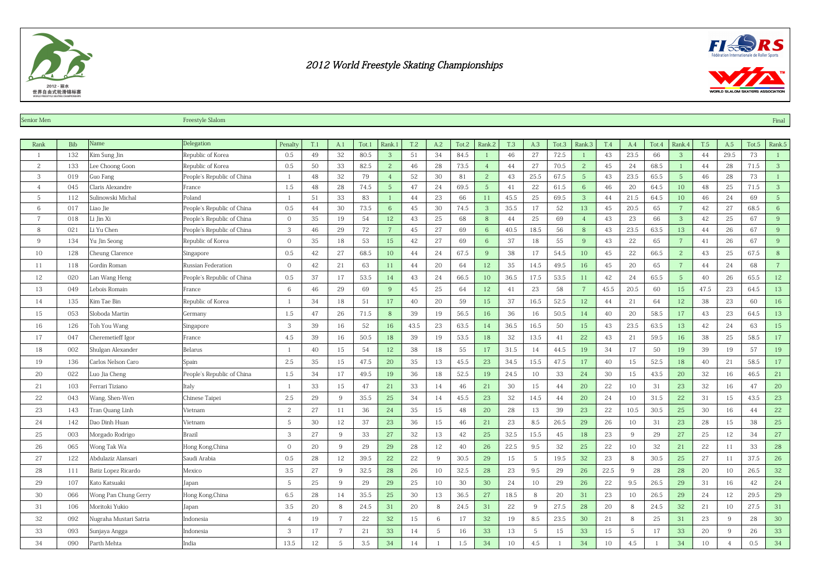



| Senior Men     |            |                        | Freestyle Slalom           |                  |     |                |       |                 |      |                |       |                 |            |      |                |                |            |      |       |                 |      |                |       | Final             |
|----------------|------------|------------------------|----------------------------|------------------|-----|----------------|-------|-----------------|------|----------------|-------|-----------------|------------|------|----------------|----------------|------------|------|-------|-----------------|------|----------------|-------|-------------------|
|                |            |                        |                            |                  |     |                |       |                 |      |                |       |                 |            |      |                |                |            |      |       |                 |      |                |       |                   |
| Rank           | <b>Bib</b> | Name                   | Delegation                 | Penalty          | T.1 | A.1            | Tot.1 | Rank.1          | T.2  | A.2            | Tot.2 | Rank.2          | <b>T.3</b> | A.3  | Tot.3          | Rank.3         | <b>T.4</b> | A.4  | Tot.4 | Rank.4          | T.5  | A.5            | Tot.5 | Rank.5            |
|                | 132        | Kim Sung Jin           | Republic of Korea          | 0.5              | 49  | 32             | 80.5  | 3               | 51   | 34             | 84.5  | $\mathbf{1}$    | 46         | 27   | 72.5           | -1             | 43         | 23.5 | 66    | $\mathbf{3}$    | 44   | 29.5           | 73    | $\lceil$          |
| 2              | 133        | Lee Choong Goon        | Republic of Korea          | 0.5              | 50  | 33             | 82.5  | $\overline{2}$  | 46   | 28             | 73.5  | $4\overline{ }$ | 44         | 27   | 70.5           | 2              | 45         | 24   | 68.5  | $\mathbf{1}$    | 44   | 28             | 71.5  | 3 <sup>2</sup>    |
| 3              | 019        | Guo Fang               | People's Republic of China |                  | 48  | 32             | 79    | $\overline{4}$  | 52   | 30             | 81    | $\overline{c}$  | 43         | 25.5 | 67.5           | $\sqrt{5}$     | 43         | 23.5 | 65.5  | 5 <sup>5</sup>  | 46   | 28             | 73    | $\lceil 1 \rceil$ |
| $\overline{4}$ | 045        | Claris Alexandre       | France                     | 1.5              | 48  | 28             | 74.5  | $5\phantom{.0}$ | 47   | 24             | 69.5  | $5\overline{)}$ | 41         | 22   | 61.5           | 6              | 46         | 20   | 64.5  | 10              | 48   | 25             | 71.5  | 3 <sup>2</sup>    |
| 5              | 112        | Sulinowski Michal      | Poland                     | $\mathbf{1}$     | 51  | 33             | 83    |                 | 44   | 23             | 66    | 11              | 45.5       | 25   | 69.5           | 3              | 44         | 21.5 | 64.5  | 10              | 46   | 24             | 69    | 5 <sup>5</sup>    |
| 6              | 017        | Liao Jie               | People's Republic of China | 0.5              | 44  | 30             | 73.5  | 6               | 45   | 30             | 74.5  | 3               | 35.5       | 17   | 52             | 13             | 45         | 20.5 | 65    | $7\phantom{.0}$ | 42   | 27             | 68.5  | $\,$ 6 $\,$       |
| $\overline{7}$ | 018        | Li Jin Xi              | People's Republic of China | $\boldsymbol{0}$ | 35  | 19             | 54    | 12              | 43   | 25             | 68    | 8               | 44         | 25   | 69             | $\overline{4}$ | 43         | 23   | 66    | 3 <sup>2</sup>  | 42   | 25             | 67    | 9                 |
| 8              | 021        | Li Yu Chen             | People's Republic of China | 3                | 46  | 29             | 72    | $7\overline{ }$ | 45   | 27             | 69    | $6\phantom{.}6$ | 40.5       | 18.5 | 56             | 8              | 43         | 23.5 | 63.5  | 13              | 44   | 26             | 67    | 9                 |
| 9              | 134        | Yu Jin Seong           | Republic of Korea          | $\mathbf 0$      | 35  | 18             | 53    | 15              | 42   | 27             | 69    | 6 <sup>°</sup>  | 37         | 18   | 55             | 9              | 43         | 22   | 65    | $7\phantom{.}$  | 41   | 26             | 67    | 9                 |
| 10             | 128        | Cheung Clarence        | Singapore                  | 0.5              | 42  | 27             | 68.5  | 10              | 44   | 24             | 67.5  | 9               | 38         | 17   | 54.5           | 10             | 45         | 22   | 66.5  | $\mathbf{2}$    | 43   | 25             | 67.5  | $\,8\,$           |
| 11             | 118        | Gordin Roman           | Russian Federation         | $\mathbf 0$      | 42  | 21             | 63    | 11              | 44   | 20             | 64    | 12              | 35         | 14.5 | 49.5           | 16             | 45         | 20   | 65    | $7\phantom{.0}$ | 44   | 24             | 68    | $7\phantom{.0}$   |
| 12             | 020        | Lan Wang Heng          | People's Republic of China | $0.5\,$          | 37  | 17             | 53.5  | 14              | 43   | 24             | 66.5  | 10              | 36.5       | 17.5 | 53.5           | 11             | 42         | 24   | 65.5  | $5\phantom{.0}$ | 40   | 26             | 65.5  | 12                |
| 13             | 049        | Lebois Romain          | France                     | 6                | 46  | 29             | 69    | 9               | 45   | 25             | 64    | 12              | 41         | 23   | 58             | $\overline{7}$ | 45.5       | 20.5 | 60    | 15              | 47.5 | 23             | 64.5  | 13                |
| 14             | 135        | Kim Tae Bin            | Republic of Korea          | -1               | 34  | 18             | 51    | 17              | 40   | 20             | 59    | 15              | 37         | 16.5 | 52.5           | 12             | 44         | 21   | 64    | 12              | 38   | 23             | 60    | 16                |
| 15             | 053        | Sloboda Martin         | Germany                    | 1.5              | 47  | 26             | 71.5  | 8               | 39   | 19             | 56.5  | 16              | 36         | 16   | 50.5           | 14             | 40         | 20   | 58.5  | 17              | 43   | 23             | 64.5  | 13                |
| 16             | 126        | Toh You Wang           | Singapore                  | 3                | 39  | 16             | 52    | 16              | 43.5 | 23             | 63.5  | 14              | 36.5       | 16.5 | 50             | 15             | 43         | 23.5 | 63.5  | 13              | 42   | 24             | 63    | $15\,$            |
| 17             | 047        | Cheremetieff Igor      | France                     | 4.5              | 39  | 16             | 50.5  | 18              | 39   | 19             | 53.5  | 18              | 32         | 13.5 | 41             | 22             | 43         | 21   | 59.5  | 16              | 38   | 25             | 58.5  | 17                |
| 18             | 002        | Shulgan Alexander      | Belarus                    | $\overline{1}$   | 40  | 15             | 54    | 12              | 38   | 18             | 55    | 17              | 31.5       | 14   | 44.5           | 19             | 34         | 17   | 50    | 19              | 39   | 19             | 57    | 19                |
| 19             | 136        | Carlos Nelson Caro     | Spain                      | 2.5              | 35  | 15             | 47.5  | 20              | 35   | 13             | 45.5  | 23              | 34.5       | 15.5 | 47.5           | 17             | 40         | 15   | 52.5  | 18              | 40   | 21             | 58.5  | 17                |
| 20             | 022        | Luo Jia Cheng          | People's Republic of China | 1.5              | 34  | 17             | 49.5  | 19              | 36   | 18             | 52.5  | 19              | 24.5       | 10   | 33             | 24             | 30         | 15   | 43.5  | 20              | 32   | 16             | 46.5  | 21                |
| 21             | 103        | Ferrari Tiziano        | Italy                      | -1               | 33  | 15             | 47    | 21              | 33   | 14             | 46    | 21              | 30         | 15   | 44             | 20             | 22         | 10   | 31    | 23              | 32   | 16             | 47    | 20                |
| 22             | 043        | Wang, Shen-Wen         | Chinese Taipei             | 2.5              | 29  | 9              | 35.5  | 25              | 34   | 14             | 45.5  | 23              | 32         | 14.5 | 44             | 20             | 24         | 10   | 31.5  | 22              | 31   | 15             | 43.5  | 23                |
| 23             | 143        | Tran Quang Linh        | Vietnam                    | 2                | 27  | 11             | 36    | 24              | 35   | 15             | 48    | 20              | 28         | 13   | 39             | 23             | 22         | 10.5 | 30.5  | 25              | 30   | 16             | 44    | 22                |
| 24             | 142        | Dao Dinh Huan          | Vietnam                    | 5                | 30  | 12             | 37    | 23              | 36   | 15             | 46    | 21              | 23         | 8.5  | 26.5           | 29             | 26         | 10   | 31    | 23              | 28   | 15             | 38    | 25                |
| 25             | 003        | Morgado Rodrigo        | <b>Brazil</b>              | 3                | 27  | 9              | 33    | 27              | 32   | 13             | 42    | 25              | 32.5       | 15.5 | 45             | 18             | 23         | 9    | 29    | 27              | 25   | 12             | 34    | 27                |
| 26             | 065        | Wong Tak Wa            | Hong Kong, China           | $\mathbf{0}$     | 20  | 9              | 29    | 29              | 28   | 12             | 40    | 26              | 22.5       | 9.5  | 32             | 25             | 22         | 10   | 32    | 21              | 22   | 11             | 33    | 28                |
| 27             | 122        | Abdulaziz Alansari     | Saudi Arabia               | 0.5              | 28  | 12             | 39.5  | 22              | 22   | 9              | 30.5  | 29              | 15         | 5    | 19.5           | 32             | 23         | 8    | 30.5  | 25              | 27   | 11             | 37.5  | 26                |
| 28             | 111        | Batiz Lopez Ricardo    | Mexico                     | 3.5              | 27  | 9              | 32.5  | 28              | 26   | 10             | 32.5  | 28              | 23         | 9.5  | 29             | 26             | 22.5       | 9    | 28    | 28              | 20   | 10             | 26.5  | 32                |
| 29             | 107        | Kato Katsuaki          | Japan                      | 5                | 25  | 9              | 29    | 29              | 25   | 10             | 30    | 30              | 24         | 10   | 29             | 26             | 22         | 9.5  | 26.5  | 29              | 31   | 16             | 42    | 24                |
| 30             | 066        | Wong Pan Chung Gerry   | Hong Kong, China           | 6.5              | 28  | 14             | 35.5  | 25              | 30   | 13             | 36.5  | 27              | 18.5       | 8    | 20             | 31             | 23         | 10   | 26.5  | 29              | 24   | 12             | 29.5  | 29                |
| 31             | 106        | Moritoki Yukio         | Japan                      | 3.5              | 20  | 8              | 24.5  | 31              | 20   | 8              | 24.5  | 31              | 22         | 9    | 27.5           | 28             | 20         | 8    | 24.5  | 32              | 21   | 10             | 27.5  | 31                |
| 32             | 092        | Nugraha Mustari Satria | Indonesia                  | $\overline{4}$   | 19  | $\overline{7}$ | 22    | 32              | 15   | 6              | 17    | 32              | 19         | 8.5  | 23.5           | 30             | 21         | 8    | 25    | 31              | 23   | 9              | 28    | 30                |
| 33             | 093        | Sunjaya Angga          | Indonesia                  | 3                | 17  | $\overline{7}$ | 21    | 33              | 14   | 5              | 16    | 33              | 13         | 5    | 15             | 33             | 15         | 5    | 17    | 33              | 20   | 9              | 26    | 33                |
| 34             | 090        | Parth Mehta            | India                      | 13.5             | 12  | $\overline{5}$ | 3.5   | 34              | 14   | $\overline{1}$ | 1.5   | 34              | 10         | 4.5  | $\overline{1}$ | 34             | 10         | 4.5  |       | 34              | 10   | $\overline{4}$ | 0.5   | 34                |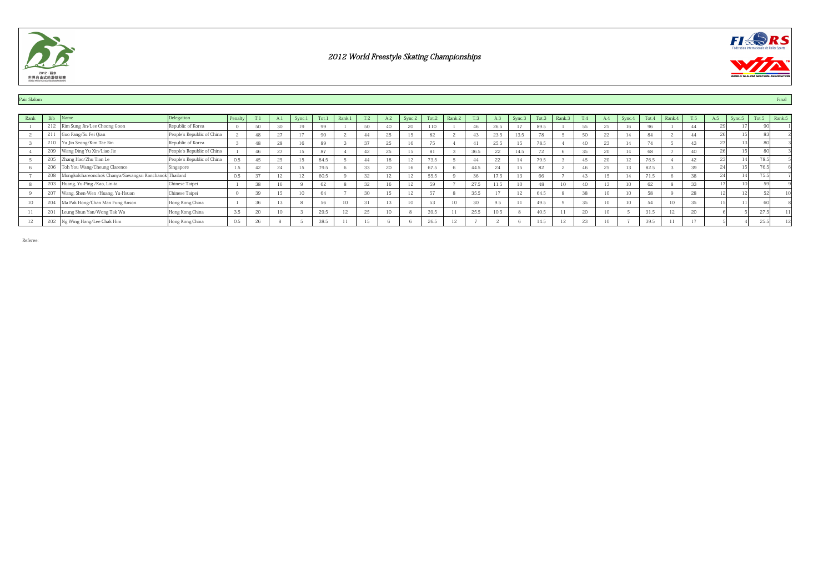



#### Pair Slalom **Final Accounts the Contract of the Contract of the Contract of the Contract of the Contract of the Contract of the Contract of the Contract of the Contract of the Contract of the Contract of the Contract of th**

| Rank | Bib<br><b>IName</b>                                           | Delegation                 | Penalty |                |                 | Sync.1 | Tot.1 | Rank.1 |              | A.2    | Sync.2 | Tot.2 | Rank.2 | <b>T.3</b> | A.3                 | Sync.3 | Tot.3 | Rank.3        |                 |        | $S$ vnc. $4$    | Tot.4  | Rank.4 | T.5 | A.5 | Sync.5 | Tot.5 | Rank.5 |
|------|---------------------------------------------------------------|----------------------------|---------|----------------|-----------------|--------|-------|--------|--------------|--------|--------|-------|--------|------------|---------------------|--------|-------|---------------|-----------------|--------|-----------------|--------|--------|-----|-----|--------|-------|--------|
|      | 212   Kim Sung Jin/Lee Choong Goon                            | Republic of Korea          |         | $E \cap$       | 30              | 19     | 99    |        | 50           |        | 20     |       |        | 46         | 26.5                | 17     | 89.5  |               | 55              | 25     |                 |        |        |     |     |        |       |        |
|      | 211<br>Guo Fang/Su Fei Qian                                   | People's Republic of China |         | 48             | 27              | $\sim$ | 90    |        |              | 25     | 15     | 82    |        | 43         | 23.5                | 13.5   | 78    |               | 50              | 22     | 14              | 84     |        | 44  |     |        |       |        |
|      | Yu Jin Seong/Kim Tae Bin<br>210                               | Republic of Korea          |         |                | 28              | 16     | 89    |        | $\sim$       | $\sim$ |        | 75    |        | 41         | 25.5                | 15     | 78.5  |               | $\overline{10}$ | $\sim$ |                 |        |        | 43  |     |        |       |        |
|      | 209 Wang Ding Yu Xin/Liao Jie                                 | People's Republic of China |         | $\overline{A}$ | 27              | 15     | 87    |        | A2           | $\sim$ | 15     |       |        | 36.5       | 22                  | 14.5   | 72    |               | 35              | 20     | A               | 68     |        | 40  |     |        |       |        |
|      | 205 Zhang Hao/Zhu Tian Le                                     | People's Republic of China | 0.5     |                | 25              | 15     | 84.5  |        |              | 18     | $\sim$ | 73.5  |        | 44         | 22                  | 14     | 79.5  |               | 45              | 20     |                 | 76.5   |        | 42  |     |        | 78.51 |        |
|      | 206<br>Toh You Wang/Cheung Clarence                           | Singapore                  |         |                | 24              | 15     | 79.5  |        | 33           | 20     | 16     | 67.5  |        | 44.5       | 24                  | 15     | 82    |               | $\overline{10}$ | 25     |                 | 82.5   |        | 39  |     |        | 76.5  |        |
|      | Mongkolchareonchok Chanya/Sawangsri Kanchanok Thailand<br>208 |                            | 0.5     | 27             | $\sim$          | 12     | 60.5  |        | 32           |        | 12     | 55.5  |        | 36         | 177<br>17.5         | 13     | 66    |               | 43              |        |                 | 71.5   |        | 38  |     |        | 75.5  |        |
|      | 203 Huang, Yu-Ping /Kao, Lin-ta                               | Chinese Taipei             |         | 38             | 16              |        | 62    |        | 22           | 16     | 12     | 50.   |        | 27.5       | $1.1 - 1.7$<br>11.J | 10     | 48    | 10            | $\overline{10}$ |        | $10-10$         | $\sim$ |        | 33  |     |        |       |        |
|      | 207 Wang, Shen-Wen /Huang, Yu-Hsuan                           | Chinese Taipei             |         | 39             | 15              | 10     | 64    |        | 30           | 15     | 12     | 57    |        | 35.5       | 17                  | 12     | 64.5  | $\mathcal{R}$ | 38              |        | 10 <sup>1</sup> | 58     |        | 28  |     |        |       |        |
|      | Ma Pak Hong/Chan Man Fung Anson                               | Hong Kong, China           |         | $\sim$         | 13              |        | 56    | 10     | 21           | $\sim$ | 10     | 53    | 10     | 30         | 9.5                 | 11     | 49.5  |               | 35              |        | 10 <sup>1</sup> | 54     | 10     | 35  |     |        |       |        |
|      | 201<br>Leung Shun Yan/Wong Tak Wa                             | Hong Kong, China           |         | $\sim$         | 10 <sup>1</sup> |        | 29.5  | 12     | $\sim$<br>Z5 |        |        | 39.5  |        | 25.5       | 10.5                |        | 40.5  |               | 20              |        |                 | 31.5   | 12     | 20  |     |        | 27.5  |        |
|      | 202 Ng Wing Hang/Lee Chak Him                                 | Hong Kong, China           | 0.5     | ne.            |                 |        | 38.5  | 11     | 15           |        |        | 26.5  | 12     |            |                     |        | 14.5  | 12            | 23              |        |                 | 39.5   | 11     | 17  |     |        | 25.5  |        |
|      |                                                               |                            |         |                |                 |        |       |        |              |        |        |       |        |            |                     |        |       |               |                 |        |                 |        |        |     |     |        |       |        |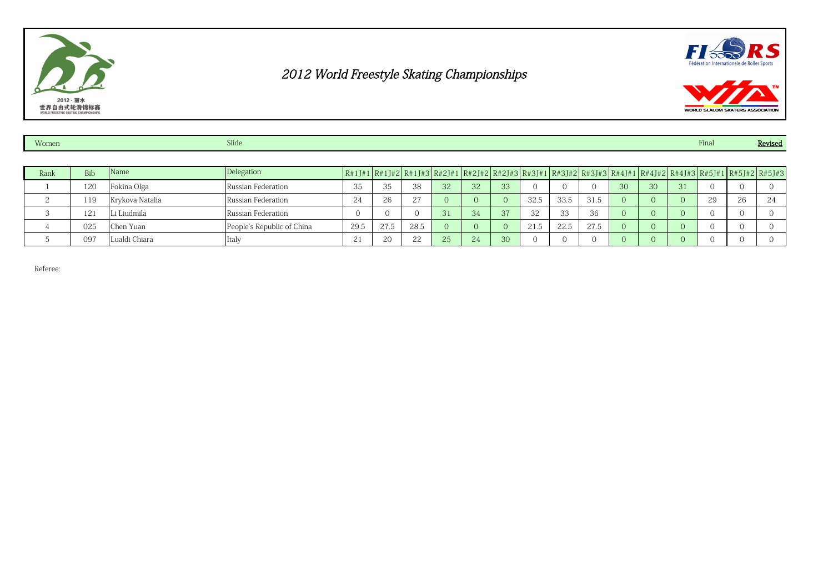





| Women |            |                 | Slide                      |                       |      |      |    |    |    |      |      |      |    |    |    | Final                                                                                                                                                                                                                                                                                        |    | Revised |
|-------|------------|-----------------|----------------------------|-----------------------|------|------|----|----|----|------|------|------|----|----|----|----------------------------------------------------------------------------------------------------------------------------------------------------------------------------------------------------------------------------------------------------------------------------------------------|----|---------|
|       |            |                 |                            |                       |      |      |    |    |    |      |      |      |    |    |    |                                                                                                                                                                                                                                                                                              |    |         |
| Rank  | <b>Bib</b> | Name            | Delegation                 |                       |      |      |    |    |    |      |      |      |    |    |    | $R#1J#1   R#1J#2   R#1J#3   R#2J#1   R#2J#2   R#2J#3   R#3J#1   R#3J#2   R#3J#3   R#4J#1   R#4J#2   R#4J#3   R#5J#1   R#5J#2   R#5J#3   R#5J#2   R#5J#3   R#5J#2   R#5J#3   R#5J#3   R#5J#3   R#5J#3   R#5J#3   R#5J#3   R#5J#3   R#5J#3   R#5J#3   R#5J#3   R#5J#3   R#5J#3   R#5J#3   R#5$ |    |         |
|       | 120        | Fokina Olga     | Russian Federation         | 35                    | 35   | 38   | 32 | 32 | 33 |      |      |      | 30 | 30 | 31 |                                                                                                                                                                                                                                                                                              |    |         |
|       | 119        | Krykova Natalia | Russian Federation         | 24                    | 26   | 27   |    |    |    | 32.5 | 33.5 | 31.5 |    | 0. |    | 29                                                                                                                                                                                                                                                                                           | 26 | 24      |
|       | 121        | Li Liudmila     | Russian Federation         |                       |      |      | 31 | 34 | 37 | 32   | 33   | 36   |    |    |    |                                                                                                                                                                                                                                                                                              |    |         |
|       | 025        | Chen Yuan       | People's Republic of China | 29.5                  | 27.5 | 28.5 |    |    |    | 21.5 | 22.5 | 27.5 |    | 0. |    |                                                                                                                                                                                                                                                                                              |    |         |
|       | 097        | Lualdi Chiara   | Italy                      | $\bigcap$<br><u>L</u> | 20   | າາ   | 25 | 24 | 30 |      |      |      |    |    |    |                                                                                                                                                                                                                                                                                              |    |         |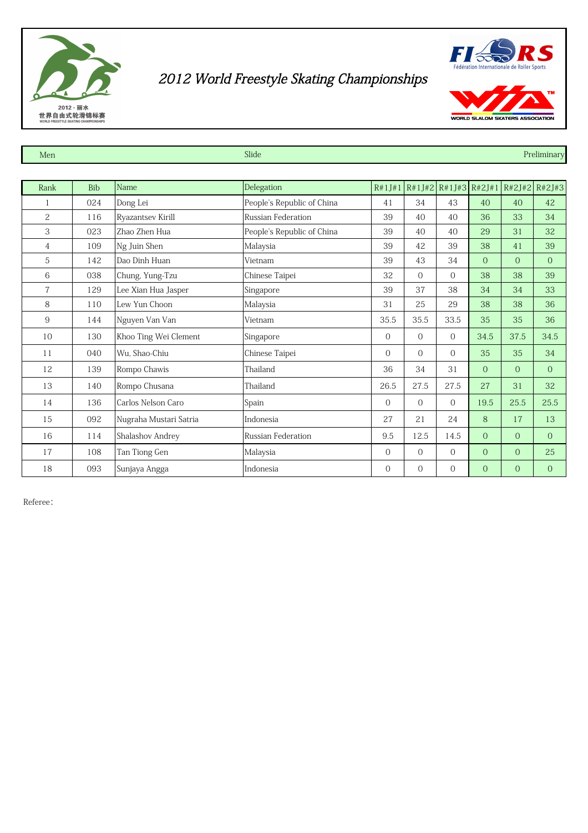



| Men            |            |                        | Slide                      |                |                |                |                |                | Preliminary                                 |
|----------------|------------|------------------------|----------------------------|----------------|----------------|----------------|----------------|----------------|---------------------------------------------|
|                |            |                        |                            |                |                |                |                |                |                                             |
| Rank           | <b>Bib</b> | Name                   | Delegation                 |                |                |                |                |                | $R#1J#1$ R#1J#2 R#1J#3 R#2J#1 R#2J#2 R#2J#3 |
|                | 024        | Dong Lei               | People's Republic of China | 41             | 34             | 43             | 40             | 40             | 42                                          |
| 2              | 116        | Ryazantsev Kirill      | Russian Federation         | 39             | 40             | 40             | 36             | 33             | 34                                          |
| 3              | 023        | Zhao Zhen Hua          | People's Republic of China | 39             | 40             | 40             | 29             | 31             | 32                                          |
| 4              | 109        | Ng Juin Shen           | Malaysia                   | 39             | 42             | 39             | 38             | 41             | 39                                          |
| 5              | 142        | Dao Dinh Huan          | Vietnam                    | 39             | 43             | 34             | $\Omega$       | $\overline{O}$ | $\overline{0}$                              |
| 6              | 038        | Chung, Yung-Tzu        | Chinese Taipei             | 32             | $\Omega$       | $\Omega$       | 38             | 38             | 39                                          |
| $\overline{7}$ | 129        | Lee Xian Hua Jasper    | Singapore                  | 39             | 37             | 38             | 34             | 34             | 33                                          |
| 8              | 110        | Lew Yun Choon          | Malaysia                   | 31             | 25             | 29             | 38             | 38             | 36                                          |
| 9              | 144        | Nguyen Van Van         | Vietnam                    | 35.5           | 35.5           | 33.5           | 35             | 35             | 36                                          |
| 10             | 130        | Khoo Ting Wei Clement  | Singapore                  | $\overline{0}$ | $\Omega$       | $\Omega$       | 34.5           | 37.5           | 34.5                                        |
| 11             | 040        | Wu, Shao-Chiu          | Chinese Taipei             | $\mathbf{0}$   | $\Omega$       | $\Omega$       | 35             | 35             | 34                                          |
| 12             | 139        | Rompo Chawis           | Thailand                   | 36             | 34             | 31             | $\overline{0}$ | $\overline{O}$ | $\overline{0}$                              |
| 13             | 140        | Rompo Chusana          | Thailand                   | 26.5           | 27.5           | 27.5           | 27             | 31             | 32                                          |
| 14             | 136        | Carlos Nelson Caro     | Spain                      | $\mathbf{0}$   | $\overline{0}$ | $\overline{O}$ | 19.5           | 25.5           | 25.5                                        |
| 15             | 092        | Nugraha Mustari Satria | Indonesia                  | 27             | 21             | 24             | 8              | 17             | 13                                          |
| 16             | 114        | Shalashov Andrey       | Russian Federation         | 9.5            | 12.5           | 14.5           | $\overline{0}$ | $\overline{0}$ | $\overline{0}$                              |
| 17             | 108        | Tan Tiong Gen          | Malaysia                   | $\overline{O}$ | $\overline{0}$ | $\Omega$       | $\overline{0}$ | $\overline{O}$ | 25                                          |
| 18             | 093        | Sunjaya Angga          | Indonesia                  | $\overline{0}$ | $\Omega$       | $\overline{0}$ | $\overline{0}$ | $\overline{O}$ | $\overline{O}$                              |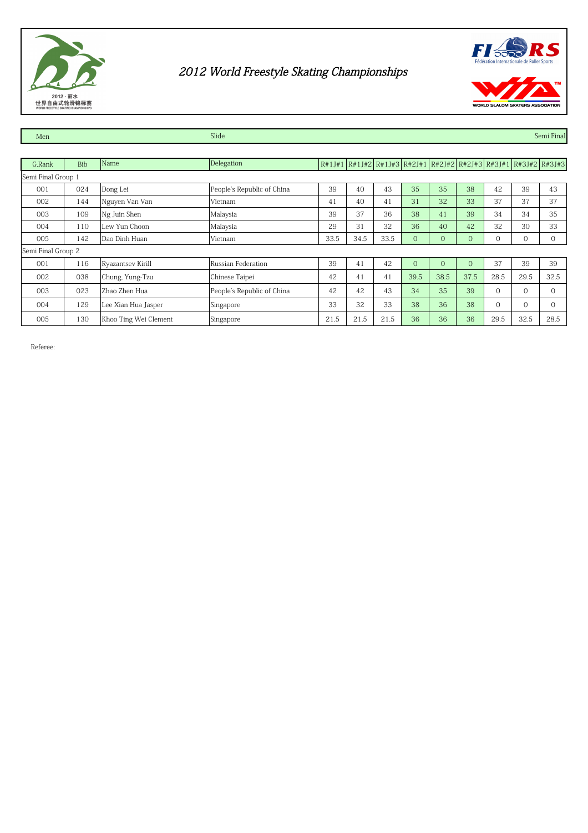



Men Slide Semi Final Slide Semi Final Slide Semi Final Semi Final Semi Final Semi Final Semi Final Semi Final G.Rank Bib Name Delegation R#1J#1 R#1J#2 R#1J#3 R#2J#1 R#2J#2 R#2J#3 R#3J#1 R#3J#2 R#3J#3 001 024 Dong Lei People's Republic of China 39 40 43 35 35 38 42 39 43 002 144 Nguyen Van Van Van Vietnam Vietnam 41 40 41 31 32 33 37 37 37 003 | 109 |Ng Juin Shen | Malaysia | 39 | 37 | 36 | 38 | 41 | 39 | 34 | 34 | 35 004 110 Lew Yun Choon Malaysia 29 31 32 36 40 42 32 30 33 005 142 Dao Dinh Huan Vietnam 33.5 34.5 33.5 0 0 0 0 0 0 001 | 116 Ryazantsev Kirill Russian Federation | 39 | 41 | 42 | 0 | 0 | 0 | 37 | 39 | 39 002 038 Chung, Yung-Tzu Chinese Taipei 42 41 41 39.5 38.5 37.5 28.5 32.5 32.5 003 | 023 | Zhao Zhen Hua | People's Republic of China | 42 | 42 | 43 | 34 | 35 | 39 | 0 | 0 | 0 004 | 129 | Lee Xian Hua Jasper | Singapore | 33 | 32 | 33 | 38 | 36 | 38 | 0 | 0 | 0 005 | 130 | Khoo Ting Wei Clement | Singapore | 21.5 | 21.5 | 21.5 | 36 | 36 | 36 | 29.5 | 32.5 | 28.5 Semi Final Group 1 Semi Final Group 2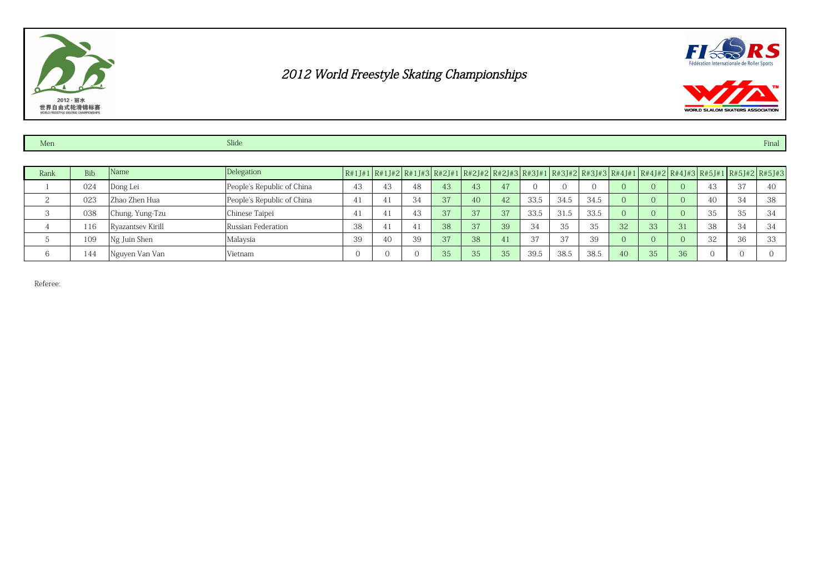





| Men  |            |                   | Slide<br>Final             |    |                                                                                                                                                                                                                                                                                              |    |    |    |    |              |        |      |    |    |    |          |          |    |
|------|------------|-------------------|----------------------------|----|----------------------------------------------------------------------------------------------------------------------------------------------------------------------------------------------------------------------------------------------------------------------------------------------|----|----|----|----|--------------|--------|------|----|----|----|----------|----------|----|
|      |            |                   |                            |    |                                                                                                                                                                                                                                                                                              |    |    |    |    |              |        |      |    |    |    |          |          |    |
| Rank | <b>Bib</b> | Name              | Delegation                 |    | $R#1J#1   R#1J#2   R#1J#3   R#2J#1   R#2J#2   R#2J#3   R#3J#1   R#3J#2   R#3J#3   R#4J#1   R#4J#2   R#4J#3   R#5J#1   R#5J#2   R#5J#3   R#5J#2   R#5J#3   R#5J#2   R#5J#3   R#5J#3   R#5J#3   R#5J#3   R#5J#3   R#5J#3   R#5J#3   R#5J#3   R#5J#3   R#5J#3   R#5J#3   R#5J#3   R#5J#3   R#5$ |    |    |    |    |              |        |      |    |    |    |          |          |    |
|      | 024        | Dong Lei          | People's Republic of China | 43 | 43                                                                                                                                                                                                                                                                                           | 48 | 43 | 43 | 47 |              |        |      |    |    |    | 43       | 37       | 40 |
| ↩    | 023        | lZhao Zhen Hua    | People's Republic of China | 41 | 4                                                                                                                                                                                                                                                                                            | 34 | 37 | 40 | 42 | 33.5         | 34.5   | 34.5 |    |    |    | 40       | 34       | 38 |
|      | 038        | Chung, Yung-Tzu   | Chinese Taipei             | 41 | -4.                                                                                                                                                                                                                                                                                          | 43 | 37 | 37 | 37 | 33.5         | 31.5   | 33.5 |    |    |    | 35       | 35       | 34 |
|      | 116        | Ryazantsev Kirill | Russian Federation         | 38 | 4.                                                                                                                                                                                                                                                                                           | 41 | 38 | 37 | 39 | 34           | 35     | 35   | 32 | 33 | 31 | 38       | 34       | 34 |
|      | 109        | Ng Juin Shen      | Malaysia                   | 39 | 40                                                                                                                                                                                                                                                                                           | 39 | 37 | 38 | 41 | $\sim$<br>31 | $\sim$ | 39   |    |    |    | 32       | 36       | 33 |
| 6    | 144        | Nguyen Van Van    | Vietnam                    |    |                                                                                                                                                                                                                                                                                              |    | 35 | 35 | 35 | 39.5         | 38.5   | 38.5 | 40 | 35 | 36 | $\Omega$ | $\Omega$ |    |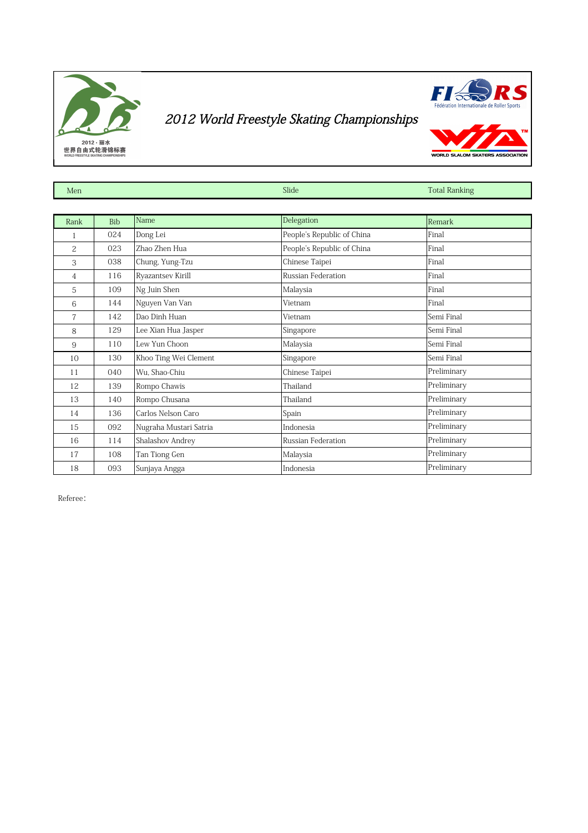



WORLD SLALOM SKATER

| Men            |            |                        | Slide                      | <b>Total Ranking</b> |
|----------------|------------|------------------------|----------------------------|----------------------|
|                |            |                        |                            |                      |
| Rank           | <b>Bib</b> | Name                   | Delegation                 | Remark               |
| 1              | 024        | Dong Lei               | People's Republic of China | Final                |
| 2              | 023        | Zhao Zhen Hua          | People's Republic of China | Final                |
| 3              | 038        | Chung, Yung-Tzu        | Chinese Taipei             | Final                |
| 4              | 116        | Ryazantsev Kirill      | Russian Federation         | Final                |
| 5              | 109        | Ng Juin Shen           | Malaysia                   | Final                |
| 6              | 144        | Nguyen Van Van         | Vietnam                    | Final                |
| $\overline{7}$ | 142        | Dao Dinh Huan          | Vietnam                    | Semi Final           |
| 8              | 129        | Lee Xian Hua Jasper    | Singapore                  | Semi Final           |
| 9              | 110        | Lew Yun Choon          | Malaysia                   | Semi Final           |
| 10             | 130        | Khoo Ting Wei Clement  | Singapore                  | Semi Final           |
| 11             | 040        | Wu, Shao-Chiu          | Chinese Taipei             | Preliminary          |
| 12             | 139        | Rompo Chawis           | Thailand                   | Preliminary          |
| 13             | 140        | Rompo Chusana          | Thailand                   | Preliminary          |
| 14             | 136        | Carlos Nelson Caro     | Spain                      | Preliminary          |
| 15             | 092        | Nugraha Mustari Satria | Indonesia                  | Preliminary          |
| 16             | 114        | Shalashov Andrey       | Russian Federation         | Preliminary          |
| 17             | 108        | Tan Tiong Gen          | Malaysia                   | Preliminary          |
| 18             | 093        | Sunjaya Angga          | Indonesia                  | Preliminary          |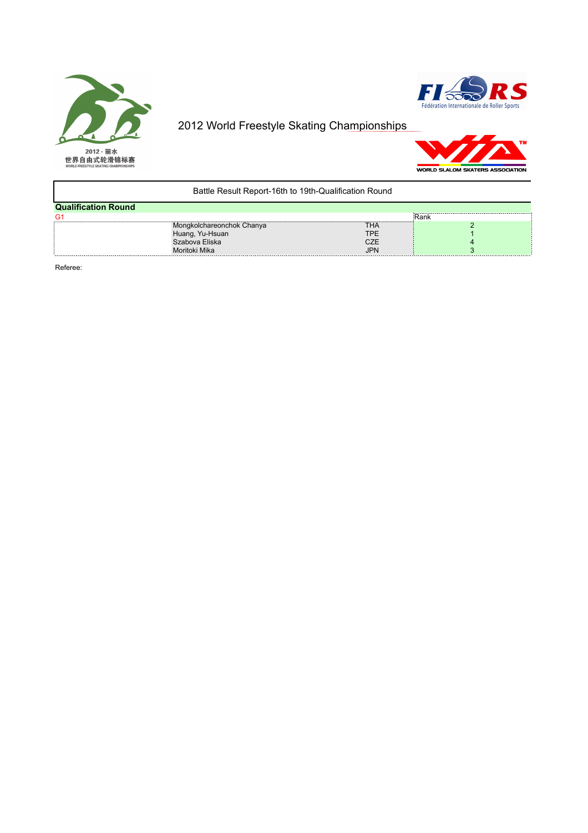





| Battle Result Report-16th to 19th-Qualification Round |                           |            |       |  |  |  |  |  |  |  |  |
|-------------------------------------------------------|---------------------------|------------|-------|--|--|--|--|--|--|--|--|
| <b>Qualification Round</b>                            |                           |            |       |  |  |  |  |  |  |  |  |
| G <sub>1</sub>                                        |                           |            | ∶Rank |  |  |  |  |  |  |  |  |
|                                                       | Mongkolchareonchok Chanya | THA        |       |  |  |  |  |  |  |  |  |
|                                                       | Huang, Yu-Hsuan           | <b>TPE</b> |       |  |  |  |  |  |  |  |  |
|                                                       | Szabova Eliska            | <b>CZE</b> |       |  |  |  |  |  |  |  |  |
|                                                       | Moritoki Mika             | <b>JPN</b> |       |  |  |  |  |  |  |  |  |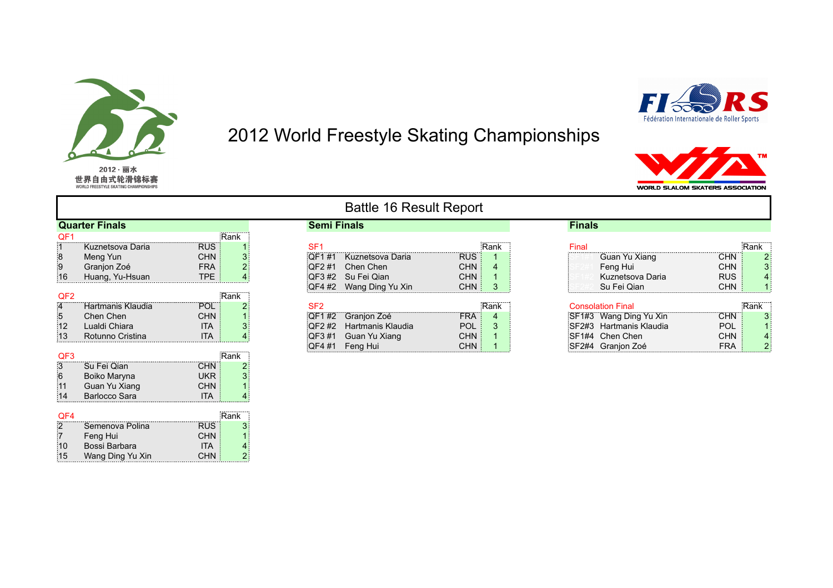

15 Wang Ding Yu Xin CHN 2

2012 World Freestyle Skating Championships



WORLD SLALOM SKATERS ASSOCIATION

|                 |                       |            |      |                    | <b>Dattic TO Result Report</b> |            |      |               |                          |            |      |
|-----------------|-----------------------|------------|------|--------------------|--------------------------------|------------|------|---------------|--------------------------|------------|------|
|                 | <b>Quarter Finals</b> |            |      | <b>Semi Finals</b> |                                |            |      | <b>Finals</b> |                          |            |      |
| QF1             |                       |            | Rank |                    |                                |            |      |               |                          |            |      |
|                 | Kuznetsova Daria      | <b>RUS</b> |      | SF <sub>1</sub>    |                                |            | Rank | Final         |                          |            | Rank |
|                 | Meng Yun              | <b>CHN</b> |      | :QF1 #1            | Kuznetsova Daria               | <b>RUS</b> |      |               | Guan Yu Xiang            | <b>CHN</b> |      |
|                 | Granjon Zoé           | <b>FRA</b> |      |                    | QF2 #1 Chen Chen               | <b>CHN</b> |      |               | Feng Hui                 | <b>CHN</b> |      |
| 16              | Huang, Yu-Hsuan       | <b>TPE</b> |      |                    | QF3 #2 Su Fei Qian             | <b>CHN</b> |      |               | Kuznetsova Daria         | <b>RUS</b> |      |
|                 |                       |            |      |                    | QF4 #2 Wang Ding Yu Xin        | <b>CHN</b> | 3    |               | Su Fei Qian              | <b>CHN</b> |      |
| QF <sub>2</sub> |                       |            | Rank |                    |                                |            |      |               |                          |            |      |
| :4              | Hartmanis Klaudia     | POL        |      | SF <sub>2</sub>    |                                |            | Rank |               | <b>Consolation Final</b> |            | Rank |
| $\overline{5}$  | Chen Chen             | <b>CHN</b> |      |                    | QF1 #2 Granjon Zoé             | <b>FRA</b> | 4    |               | SF1#3 Wang Ding Yu Xin   | <b>CHN</b> |      |
| 12              | Lualdi Chiara         | <b>ITA</b> |      |                    | QF2 #2 Hartmanis Klaudia       | <b>POL</b> | 3    |               | SF2#3 Hartmanis Klaudia  | <b>POL</b> |      |
| 13              | Rotunno Cristina      | <b>ITA</b> |      |                    | QF3 #1 Guan Yu Xiang           | <b>CHN</b> |      |               | SF1#4 Chen Chen          | <b>CHN</b> |      |
|                 |                       |            |      |                    | QF4 #1 Feng Hui                | <b>CHN</b> |      |               | SF2#4 Granjon Zoé        | <b>FRA</b> |      |
| QF <sub>3</sub> |                       |            | Rank |                    |                                |            |      |               |                          |            |      |
| 3               | Su Fei Qian           | <b>CHN</b> |      |                    |                                |            |      |               |                          |            |      |
| 6               | Boiko Maryna          | <b>UKR</b> |      |                    |                                |            |      |               |                          |            |      |
| 11              | Guan Yu Xiang         | <b>CHN</b> |      |                    |                                |            |      |               |                          |            |      |
| 14              | Barlocco Sara         | <b>ITA</b> |      |                    |                                |            |      |               |                          |            |      |
|                 |                       |            | .    |                    |                                |            |      |               |                          |            |      |
| QF4             |                       |            | Rank |                    |                                |            |      |               |                          |            |      |
|                 | Semenova Polina       | <b>RUS</b> |      |                    |                                |            |      |               |                          |            |      |
|                 | Feng Hui              | <b>CHN</b> |      |                    |                                |            |      |               |                          |            |      |
| 10              | Bossi Barbara         | <b>ITA</b> |      |                    |                                |            |      |               |                          |            |      |

#### Battle 16 Result Report

| <b>OBIII FIIIAIS</b> |                        |            |           | гназ                       |            |      |
|----------------------|------------------------|------------|-----------|----------------------------|------------|------|
|                      |                        |            |           |                            |            |      |
| SF <sub>1</sub>      |                        |            | .<br>Rank | Final                      |            | Rank |
|                      | QF1#1 Kuznetsova Daria | <b>RUS</b> |           | Guan Yu Xiang              | CHN        |      |
| OF2 #1               | Chen Chen              | CHN        | 4         | Feng Hui                   | <b>CHN</b> |      |
|                      | QF3 #2 Su Fei Qian     | CHN        |           | Kuznetsova Daria           | <b>RUS</b> |      |
| QF4 #2               | Wang Ding Yu Xin       | CHN        | 3         | Su Fei Qian                | CHN        |      |
|                      |                        |            |           |                            |            |      |
| SF <sub>2</sub>      |                        |            | Rank      | Consolation Final          |            | Rank |
| OF1 #2               | Granion Zoé            | FRA        |           | ∶SE1#3   Wang Ding Yu Xin. | ∵HN        |      |

| Final                                 | Rank |
|---------------------------------------|------|
| Guan Yu Xiang<br><b>CHN</b>           |      |
| Feng Hui<br><b>CHN</b>                |      |
| Kuznetsova Daria<br><b>RUS</b>        |      |
| <b>CHN</b><br>Su Fei Qian             |      |
|                                       |      |
| <b>Consolation Final</b>              | Rank |
| SF1#3 Wang Ding Yu Xin<br><b>CHN</b>  |      |
| SF2#3 Hartmanis Klaudia<br><b>POL</b> |      |
| <b>CHN</b><br>SF1#4 Chen Chen         |      |
| SF2#4 Granion Zoé<br><b>FRA</b>       | 21   |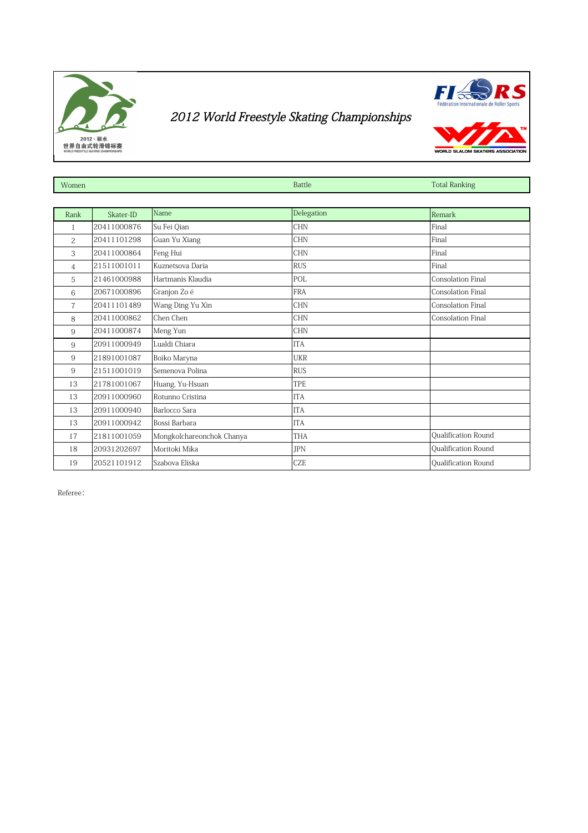



| Women          |             |                           | Battle     | <b>Total Ranking</b>     |
|----------------|-------------|---------------------------|------------|--------------------------|
|                |             |                           |            |                          |
| Rank           | Skater-ID   | Name                      | Delegation | Remark                   |
| 1              | 20411000876 | Su Fei Qian               | <b>CHN</b> | Final                    |
| $\overline{c}$ | 20411101298 | Guan Yu Xiang             | <b>CHN</b> | Final                    |
| 3              | 20411000864 | Feng Hui                  | <b>CHN</b> | Final                    |
| 4              | 21511001011 | Kuznetsova Daria          | <b>RUS</b> | Final                    |
| 5              | 21461000988 | Hartmanis Klaudia         | POL        | Consolation Final        |
| 6              | 20671000896 | Granjon Zo é              | <b>FRA</b> | Consolation Final        |
| $\overline{7}$ | 20411101489 | Wang Ding Yu Xin          | <b>CHN</b> | <b>Consolation Final</b> |
| 8              | 20411000862 | Chen Chen                 | <b>CHN</b> | <b>Consolation Final</b> |
| 9              | 20411000874 | Meng Yun                  | <b>CHN</b> |                          |
| 9              | 20911000949 | Lualdi Chiara             | <b>ITA</b> |                          |
| 9              | 21891001087 | Boiko Maryna              | <b>UKR</b> |                          |
| 9              | 21511001019 | Semenova Polina           | <b>RUS</b> |                          |
| 13             | 21781001067 | Huang, Yu-Hsuan           | <b>TPE</b> |                          |
| 13             | 20911000960 | Rotunno Cristina          | <b>ITA</b> |                          |
| 13             | 20911000940 | Barlocco Sara             | <b>ITA</b> |                          |
| 13             | 20911000942 | Bossi Barbara             | <b>ITA</b> |                          |
| 17             | 21811001059 | Mongkolchareonchok Chanya | <b>THA</b> | Qualification Round      |
| 18             | 20931202697 | Moritoki Mika             | <b>IPN</b> | Qualification Round      |
| 19             | 20521101912 | Szabova Eliska            | <b>CZE</b> | Qualification Round      |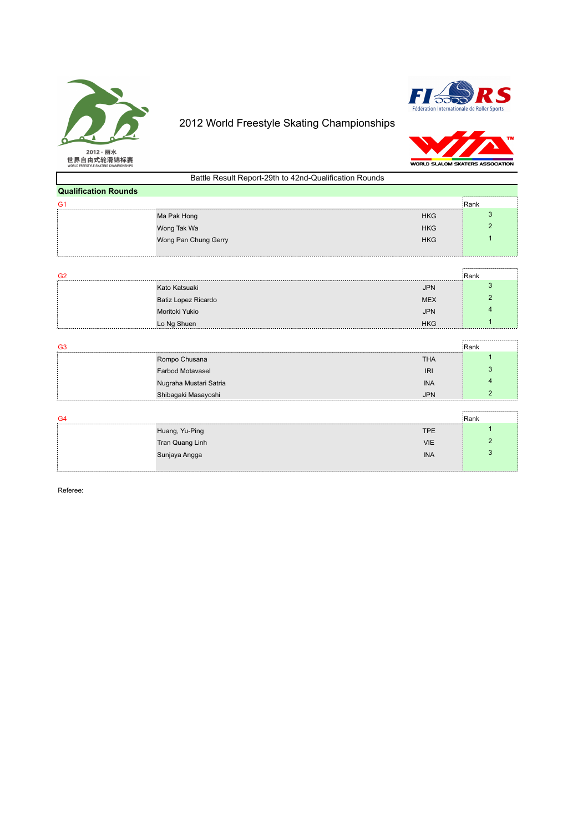

#### 2012 World Freestyle Skating Championships



# SKATERS ASSOCIATIO MARK STATES

| WORLD FREESTYLE SKATING CHAMPIONSHIPS |                                                        | <b>WORLD SLALOM SKATERS ASSOCIAT</b> |      |
|---------------------------------------|--------------------------------------------------------|--------------------------------------|------|
|                                       | Battle Result Report-29th to 42nd-Qualification Rounds |                                      |      |
| <b>Qualification Rounds</b>           |                                                        |                                      |      |
| G1                                    |                                                        |                                      | Rank |
|                                       | Ma Pak Hong                                            | <b>HKG</b>                           |      |
|                                       | Wong Tak Wa                                            | <b>HKG</b>                           |      |
|                                       | Wong Pan Chung Gerry                                   | <b>HKG</b>                           |      |
|                                       |                                                        |                                      |      |

| G <sub>2</sub> |                     |            | :Rank |
|----------------|---------------------|------------|-------|
|                | Kato Katsuaki       | <b>JPN</b> |       |
|                | Batiz Lopez Ricardo | <b>MEX</b> |       |
|                | Moritoki Yukio      | <b>JPN</b> |       |
|                | Lo Ng Shuen         | <b>HKG</b> |       |

| G <sub>3</sub> |                         |            | Rank |
|----------------|-------------------------|------------|------|
|                | Rompo Chusana           | <b>THA</b> |      |
|                | <b>Farbod Motavasel</b> | <b>IRI</b> |      |
|                | Nugraha Mustari Satria  | <b>INA</b> |      |
|                | Shibagaki Masayoshi     | <b>JPN</b> |      |

| G4 |                 |            | Rank      |
|----|-----------------|------------|-----------|
|    | Huang, Yu-Ping  | <b>TPE</b> |           |
|    | Tran Quang Linh | <b>VIE</b> |           |
|    | Sunjaya Angga   | <b>INA</b> |           |
|    |                 |            | --------- |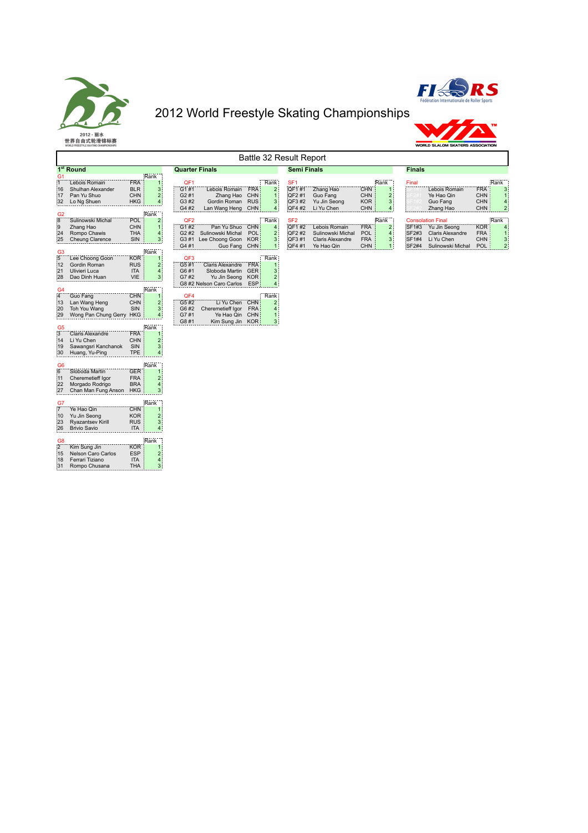





|                                                                | Battle 32 Result Report                                                        |                                                                                                         |                                       |                                                                                               |                                                      |                                                    |                                                             |                                                                             |                                               |                                                    |                         |                                                                                                |                                                      |                                               |
|----------------------------------------------------------------|--------------------------------------------------------------------------------|---------------------------------------------------------------------------------------------------------|---------------------------------------|-----------------------------------------------------------------------------------------------|------------------------------------------------------|----------------------------------------------------|-------------------------------------------------------------|-----------------------------------------------------------------------------|-----------------------------------------------|----------------------------------------------------|-------------------------|------------------------------------------------------------------------------------------------|------------------------------------------------------|-----------------------------------------------|
|                                                                | 1 <sup>st</sup> Round                                                          |                                                                                                         | <b>Quarter Finals</b>                 |                                                                                               |                                                      |                                                    | <b>Semi Finals</b>                                          |                                                                             |                                               |                                                    | <b>Finals</b>           |                                                                                                |                                                      |                                               |
| G <sub>1</sub><br>11<br>:16<br>:17<br>32                       | Lebois Romain<br>Shulhan Alexander<br>Pan Yu Shuo<br>Lo Ng Shuen               | Rank<br><b>FRA</b><br>$\mathbf 1$<br><b>BLR</b><br>3<br><b>CHN</b><br>$\overline{2}$<br><b>HKG</b><br>4 | QF1<br>G1#1<br>G2#1<br>G3 #2          | Lebois Romain<br>Zhang Hao<br>Gordin Roman                                                    | FRA<br><b>CHN</b><br><b>RUS</b>                      | Rank:<br>$\overline{2}$<br>1:<br>з;                | SF <sub>1</sub><br>QF1#1<br>QF2#1<br>QF3 #2                 | Zhang Hao<br>Guo Fang<br>Yu Jin Seong                                       | <b>CHN</b><br><b>CHN</b><br><b>KOR</b>        | Rank<br>2<br>3                                     | Final                   | Lebois Romain<br>Ye Hao Qin<br>Guo Fang                                                        | <b>FRA</b><br><b>CHN</b><br><b>CHN</b>               | Rank<br>3                                     |
| G2<br>8<br>9<br>24<br>25                                       | Sulinowski Michal<br>Zhang Hao<br>Rompo Chawis<br>Cheung Clarence              | :Rank<br>PÖL <sup>®</sup><br>$\overline{2}$<br>CHN 3<br><b>THA</b><br>4<br>SIN<br>3                     | G4 #2<br>QF <sub>2</sub><br>G1#2      | Lan Wang Heng CHN<br>Pan Yu Shuo<br>G2#2 Sulinowski Michal<br>G3#1 Lee Choong Goon            | <b>CHN</b><br><b>POL</b><br><b>KOR</b>               | 4:<br>Rank<br>4 <sup>1</sup><br>$\mathbf{2}$<br>з: | QF4 #2<br>SF <sub>2</sub><br>QF1#2<br><b>OF2#2</b><br>QF3#1 | Li Yu Chen<br>Lebois Romain<br>Sulinowski Michal<br><b>Claris Alexandre</b> | CHN<br><b>FRA</b><br><b>POL</b><br><b>FRA</b> | 4<br>Rank<br>2 <sup>1</sup><br>$\overline{4}$<br>3 | SF1#3<br>SF2#3<br>SF1#4 | Zhang Hao<br><b>Consolation Final</b><br>Yu Jin Seong<br><b>Claris Alexandre</b><br>Li Yu Chen | <b>CHN</b><br><b>KOR</b><br><b>FRA</b><br><b>CHN</b> | $\overline{2}$<br>Rank<br>$\overline{4}$<br>3 |
| G <sub>3</sub><br>5<br>:12<br>21<br>:28                        | Lee Choong Goon<br>Gordin Roman<br>Ulivieri Luca<br>Dao Dinh Huan              | Rank<br><b>KOR</b><br><b>RUS</b><br>$\overline{2}$<br><b>ITA</b><br>4<br><b>VIE</b><br>3                | G4#1<br>QF3<br>G5#1<br>G6#1<br>G7#2   | Guo Fang<br><b>Claris Alexandre</b><br>Sloboda Martin<br>Yu Jin Seong                         | <b>CHN</b><br><b>FRA</b><br><b>GER</b><br><b>KOR</b> | 1:<br>Rank<br>1<br>з:<br>2)                        | QF4 #1                                                      | Ye Hao Qin                                                                  | <b>CHN</b>                                    |                                                    | SF2#4                   | Sulinowski Michal                                                                              | <b>POL</b>                                           | $\overline{\mathbf{c}}$                       |
| G <sub>4</sub><br>$\overline{4}$<br>:13<br>:20<br>29           | Guo Fang<br>Lan Wang Heng<br>Toh You Wang<br>Wong Pan Chung Gerry HKG          | Rank<br>CHN<br>1<br>CHN<br>SIN<br>3                                                                     | QF4<br>G5#2<br>G6 #2<br>G7#1<br>G8 #1 | G8 #2 Nelson Caro Carlos<br>Li Yu Chen<br>Cheremetieff Igor<br>Ye Hao Qin<br>Kim Sung Jin KOR | ESP<br><b>CHN</b><br><b>FRA</b><br><b>CHN</b>        | $\overline{4}$<br>Rank<br>2:<br>4<br>1:<br>3;      |                                                             |                                                                             |                                               |                                                    |                         |                                                                                                |                                                      |                                               |
| G <sub>5</sub><br>$\overline{3}$<br>:14<br>:19<br>$30^{\circ}$ | <b>Claris Alexandre</b><br>Li Yu Chen<br>Sawangsri Kanchanok<br>Huang, Yu-Ping | Rank<br><b>FRA</b><br><b>CHN</b><br>$\overline{2}$<br>3<br>SIN<br><b>TPE</b><br>4                       |                                       |                                                                                               |                                                      |                                                    |                                                             |                                                                             |                                               |                                                    |                         |                                                                                                |                                                      |                                               |
| G <sub>6</sub><br>6<br>:11<br>22<br>$^{127}$                   | Sloboda Martin<br>Cheremetieff Igor<br>Morgado Rodrigo<br>Chan Man Fung Anson  | Rank<br><b>GER</b><br><b>FRA</b><br>$\overline{2}$<br><b>BRA</b><br>4<br><b>HKG</b><br>3                |                                       |                                                                                               |                                                      |                                                    |                                                             |                                                                             |                                               |                                                    |                         |                                                                                                |                                                      |                                               |
| G7<br>$\overline{7}$<br>:10<br>: 23<br> 26                     | Ye Hao Qin<br>Yu Jin Seong<br>Ryazantsev Kirill<br><b>Brivio Savio</b>         | Rank<br><b>CHN</b><br>KOR:<br>$\overline{2}$<br><b>RUS</b><br>3<br><b>ITA</b><br>4                      |                                       |                                                                                               |                                                      |                                                    |                                                             |                                                                             |                                               |                                                    |                         |                                                                                                |                                                      |                                               |
| G <sub>8</sub><br>$\overline{2}$<br>:15<br>:18<br> 31          | Kim Sung Jin<br><b>Nelson Caro Carlos</b><br>Ferrari Tiziano<br>Rompo Chusana  | Rank<br><b>KOR</b><br><b>ESP</b><br>$\overline{2}$<br><b>ITA</b><br>4<br><b>THA</b><br>3                |                                       |                                                                                               |                                                      |                                                    |                                                             |                                                                             |                                               |                                                    |                         |                                                                                                |                                                      |                                               |